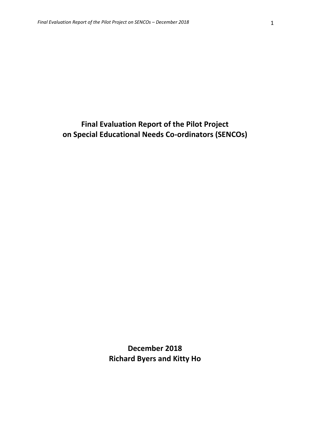# **Final Evaluation Report of the Pilot Project on Special Educational Needs Co-ordinators (SENCOs)**

**December 2018 Richard Byers and Kitty Ho**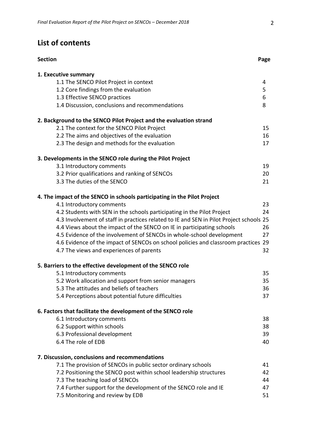# **List of contents**

| <b>Section</b>                                                                          | Page |
|-----------------------------------------------------------------------------------------|------|
| 1. Executive summary                                                                    |      |
| 1.1 The SENCO Pilot Project in context                                                  | 4    |
| 1.2 Core findings from the evaluation                                                   | 5    |
| 1.3 Effective SENCO practices                                                           | 6    |
| 1.4 Discussion, conclusions and recommendations                                         | 8    |
| 2. Background to the SENCO Pilot Project and the evaluation strand                      |      |
| 2.1 The context for the SENCO Pilot Project                                             | 15   |
| 2.2 The aims and objectives of the evaluation                                           | 16   |
| 2.3 The design and methods for the evaluation                                           | 17   |
| 3. Developments in the SENCO role during the Pilot Project                              |      |
| 3.1 Introductory comments                                                               | 19   |
| 3.2 Prior qualifications and ranking of SENCOs                                          | 20   |
| 3.3 The duties of the SENCO                                                             | 21   |
| 4. The impact of the SENCO in schools participating in the Pilot Project                |      |
| 4.1 Introductory comments                                                               | 23   |
| 4.2 Students with SEN in the schools participating in the Pilot Project                 | 24   |
| 4.3 Involvement of staff in practices related to IE and SEN in Pilot Project schools 25 |      |
| 4.4 Views about the impact of the SENCO on IE in participating schools                  | 26   |
| 4.5 Evidence of the involvement of SENCOs in whole-school development                   | 27   |
| 4.6 Evidence of the impact of SENCOs on school policies and classroom practices 29      |      |
| 4.7 The views and experiences of parents                                                | 32   |
| 5. Barriers to the effective development of the SENCO role                              |      |
| 5.1 Introductory comments                                                               | 35   |
| 5.2 Work allocation and support from senior managers                                    | 35   |
| 5.3 The attitudes and beliefs of teachers                                               | 36   |
| 5.4 Perceptions about potential future difficulties                                     | 37   |
| 6. Factors that facilitate the development of the SENCO role                            |      |
| 6.1 Introductory comments                                                               | 38   |
| 6.2 Support within schools                                                              | 38   |
| 6.3 Professional development                                                            | 39   |
| 6.4 The role of EDB                                                                     | 40   |
| 7. Discussion, conclusions and recommendations                                          |      |
| 7.1 The provision of SENCOs in public sector ordinary schools                           | 41   |
| 7.2 Positioning the SENCO post within school leadership structures                      | 42   |
| 7.3 The teaching load of SENCOs                                                         | 44   |
| 7.4 Further support for the development of the SENCO role and IE                        | 47   |
| 7.5 Monitoring and review by EDB                                                        | 51   |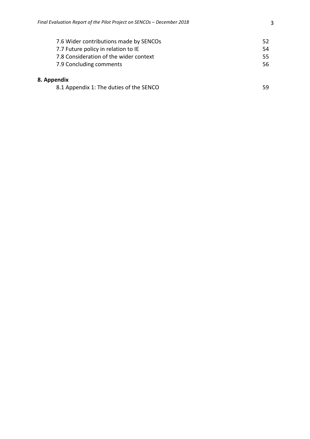| 7.6 Wider contributions made by SENCOs | 52. |
|----------------------------------------|-----|
| 7.7 Future policy in relation to IE    | 54. |
| 7.8 Consideration of the wider context | 55  |
| 7.9 Concluding comments                | 56. |
| oendix                                 |     |
|                                        |     |

# 8. App

| 8.1 Appendix 1: The duties of the SENCO |  |
|-----------------------------------------|--|
|-----------------------------------------|--|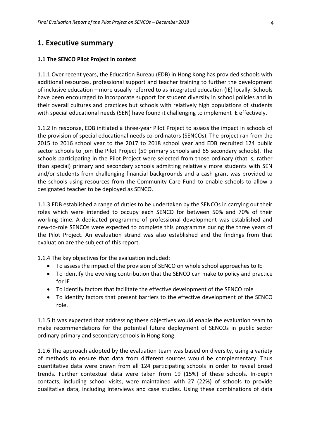# **1. Executive summary**

#### **1.1 The SENCO Pilot Project in context**

1.1.1 Over recent years, the Education Bureau (EDB) in Hong Kong has provided schools with additional resources, professional support and teacher training to further the development of inclusive education – more usually referred to as integrated education (IE) locally. Schools have been encouraged to incorporate support for student diversity in school policies and in their overall cultures and practices but schools with relatively high populations of students with special educational needs (SEN) have found it challenging to implement IE effectively.

1.1.2 In response, EDB initiated a three-year Pilot Project to assess the impact in schools of the provision of special educational needs co-ordinators (SENCOs). The project ran from the 2015 to 2016 school year to the 2017 to 2018 school year and EDB recruited 124 public sector schools to join the Pilot Project (59 primary schools and 65 secondary schools). The schools participating in the Pilot Project were selected from those ordinary (that is, rather than special) primary and secondary schools admitting relatively more students with SEN and/or students from challenging financial backgrounds and a cash grant was provided to the schools using resources from the Community Care Fund to enable schools to allow a designated teacher to be deployed as SENCO.

1.1.3 EDB established a range of duties to be undertaken by the SENCOs in carrying out their roles which were intended to occupy each SENCO for between 50% and 70% of their working time. A dedicated programme of professional development was established and new-to-role SENCOs were expected to complete this programme during the three years of the Pilot Project. An evaluation strand was also established and the findings from that evaluation are the subject of this report.

1.1.4 The key objectives for the evaluation included:

- To assess the impact of the provision of SENCO on whole school approaches to IE
- To identify the evolving contribution that the SENCO can make to policy and practice for IE
- To identify factors that facilitate the effective development of the SENCO role
- To identify factors that present barriers to the effective development of the SENCO role.

1.1.5 It was expected that addressing these objectives would enable the evaluation team to make recommendations for the potential future deployment of SENCOs in public sector ordinary primary and secondary schools in Hong Kong.

1.1.6 The approach adopted by the evaluation team was based on diversity, using a variety of methods to ensure that data from different sources would be complementary. Thus quantitative data were drawn from all 124 participating schools in order to reveal broad trends. Further contextual data were taken from 19 (15%) of these schools. In-depth contacts, including school visits, were maintained with 27 (22%) of schools to provide qualitative data, including interviews and case studies. Using these combinations of data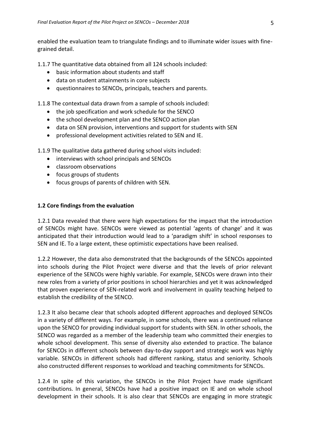enabled the evaluation team to triangulate findings and to illuminate wider issues with finegrained detail.

1.1.7 The quantitative data obtained from all 124 schools included:

- basic information about students and staff
- data on student attainments in core subjects
- questionnaires to SENCOs, principals, teachers and parents.

1.1.8 The contextual data drawn from a sample of schools included:

- the job specification and work schedule for the SENCO
- the school development plan and the SENCO action plan
- data on SEN provision, interventions and support for students with SEN
- professional development activities related to SEN and IE.

1.1.9 The qualitative data gathered during school visits included:

- interviews with school principals and SENCOs
- classroom observations
- focus groups of students
- focus groups of parents of children with SEN.

### **1.2 Core findings from the evaluation**

1.2.1 Data revealed that there were high expectations for the impact that the introduction of SENCOs might have. SENCOs were viewed as potential 'agents of change' and it was anticipated that their introduction would lead to a 'paradigm shift' in school responses to SEN and IE. To a large extent, these optimistic expectations have been realised.

1.2.2 However, the data also demonstrated that the backgrounds of the SENCOs appointed into schools during the Pilot Project were diverse and that the levels of prior relevant experience of the SENCOs were highly variable. For example, SENCOs were drawn into their new roles from a variety of prior positions in school hierarchies and yet it was acknowledged that proven experience of SEN-related work and involvement in quality teaching helped to establish the credibility of the SENCO.

1.2.3 It also became clear that schools adopted different approaches and deployed SENCOs in a variety of different ways. For example, in some schools, there was a continued reliance upon the SENCO for providing individual support for students with SEN. In other schools, the SENCO was regarded as a member of the leadership team who committed their energies to whole school development. This sense of diversity also extended to practice. The balance for SENCOs in different schools between day-to-day support and strategic work was highly variable. SENCOs in different schools had different ranking, status and seniority. Schools also constructed different responses to workload and teaching commitments for SENCOs.

1.2.4 In spite of this variation, the SENCOs in the Pilot Project have made significant contributions. In general, SENCOs have had a positive impact on IE and on whole school development in their schools. It is also clear that SENCOs are engaging in more strategic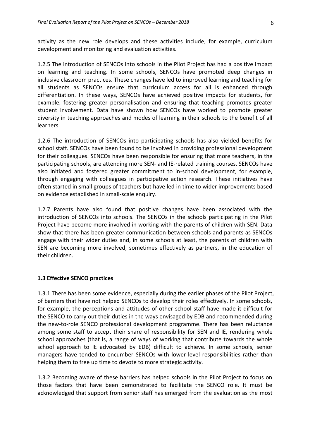activity as the new role develops and these activities include, for example, curriculum development and monitoring and evaluation activities.

1.2.5 The introduction of SENCOs into schools in the Pilot Project has had a positive impact on learning and teaching. In some schools, SENCOs have promoted deep changes in inclusive classroom practices. These changes have led to improved learning and teaching for all students as SENCOs ensure that curriculum access for all is enhanced through differentiation. In these ways, SENCOs have achieved positive impacts for students, for example, fostering greater personalisation and ensuring that teaching promotes greater student involvement. Data have shown how SENCOs have worked to promote greater diversity in teaching approaches and modes of learning in their schools to the benefit of all learners.

1.2.6 The introduction of SENCOs into participating schools has also yielded benefits for school staff. SENCOs have been found to be involved in providing professional development for their colleagues. SENCOs have been responsible for ensuring that more teachers, in the participating schools, are attending more SEN- and IE-related training courses. SENCOs have also initiated and fostered greater commitment to in-school development, for example, through engaging with colleagues in participative action research. These initiatives have often started in small groups of teachers but have led in time to wider improvements based on evidence established in small-scale enquiry.

1.2.7 Parents have also found that positive changes have been associated with the introduction of SENCOs into schools. The SENCOs in the schools participating in the Pilot Project have become more involved in working with the parents of children with SEN. Data show that there has been greater communication between schools and parents as SENCOs engage with their wider duties and, in some schools at least, the parents of children with SEN are becoming more involved, sometimes effectively as partners, in the education of their children.

#### **1.3 Effective SENCO practices**

1.3.1 There has been some evidence, especially during the earlier phases of the Pilot Project, of barriers that have not helped SENCOs to develop their roles effectively. In some schools, for example, the perceptions and attitudes of other school staff have made it difficult for the SENCO to carry out their duties in the ways envisaged by EDB and recommended during the new-to-role SENCO professional development programme. There has been reluctance among some staff to accept their share of responsibility for SEN and IE, rendering whole school approaches (that is, a range of ways of working that contribute towards the whole school approach to IE advocated by EDB) difficult to achieve. In some schools, senior managers have tended to encumber SENCOs with lower-level responsibilities rather than helping them to free up time to devote to more strategic activity.

1.3.2 Becoming aware of these barriers has helped schools in the Pilot Project to focus on those factors that have been demonstrated to facilitate the SENCO role. It must be acknowledged that support from senior staff has emerged from the evaluation as the most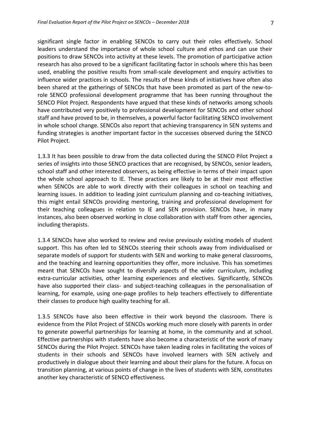significant single factor in enabling SENCOs to carry out their roles effectively. School leaders understand the importance of whole school culture and ethos and can use their positions to draw SENCOs into activity at these levels. The promotion of participative action research has also proved to be a significant facilitating factor in schools where this has been used, enabling the positive results from small-scale development and enquiry activities to influence wider practices in schools. The results of these kinds of initiatives have often also been shared at the gatherings of SENCOs that have been promoted as part of the new-torole SENCO professional development programme that has been running throughout the SENCO Pilot Project. Respondents have argued that these kinds of networks among schools have contributed very positively to professional development for SENCOs and other school staff and have proved to be, in themselves, a powerful factor facilitating SENCO involvement in whole school change. SENCOs also report that achieving transparency in SEN systems and funding strategies is another important factor in the successes observed during the SENCO Pilot Project.

1.3.3 It has been possible to draw from the data collected during the SENCO Pilot Project a series of insights into those SENCO practices that are recognised, by SENCOs, senior leaders, school staff and other interested observers, as being effective in terms of their impact upon the whole school approach to IE. These practices are likely to be at their most effective when SENCOs are able to work directly with their colleagues in school on teaching and learning issues. In addition to leading joint curriculum planning and co-teaching initiatives, this might entail SENCOs providing mentoring, training and professional development for their teaching colleagues in relation to IE and SEN provision. SENCOs have, in many instances, also been observed working in close collaboration with staff from other agencies, including therapists.

1.3.4 SENCOs have also worked to review and revise previously existing models of student support. This has often led to SENCOs steering their schools away from individualised or separate models of support for students with SEN and working to make general classrooms, and the teaching and learning opportunities they offer, more inclusive. This has sometimes meant that SENCOs have sought to diversify aspects of the wider curriculum, including extra-curricular activities, other learning experiences and electives. Significantly, SENCOs have also supported their class- and subject-teaching colleagues in the personalisation of learning, for example, using one-page profiles to help teachers effectively to differentiate their classes to produce high quality teaching for all.

1.3.5 SENCOs have also been effective in their work beyond the classroom. There is evidence from the Pilot Project of SENCOs working much more closely with parents in order to generate powerful partnerships for learning at home, in the community and at school. Effective partnerships with students have also become a characteristic of the work of many SENCOs during the Pilot Project. SENCOs have taken leading roles in facilitating the voices of students in their schools and SENCOs have involved learners with SEN actively and productively in dialogue about their learning and about their plans for the future. A focus on transition planning, at various points of change in the lives of students with SEN, constitutes another key characteristic of SENCO effectiveness.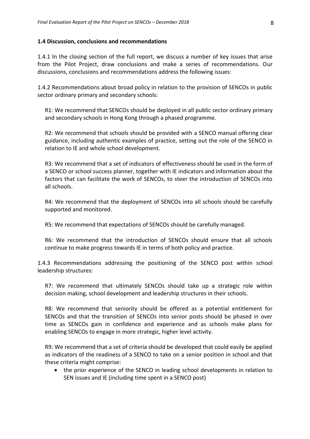### **1.4 Discussion, conclusions and recommendations**

1.4.1 In the closing section of the full report, we discuss a number of key issues that arise from the Pilot Project, draw conclusions and make a series of recommendations. Our discussions, conclusions and recommendations address the following issues:

1.4.2 Recommendations about broad policy in relation to the provision of SENCOs in public sector ordinary primary and secondary schools:

R1: We recommend that SENCOs should be deployed in all public sector ordinary primary and secondary schools in Hong Kong through a phased programme.

R2: We recommend that schools should be provided with a SENCO manual offering clear guidance, including authentic examples of practice, setting out the role of the SENCO in relation to IE and whole school development.

R3: We recommend that a set of indicators of effectiveness should be used in the form of a SENCO or school success planner, together with IE indicators and information about the factors that can facilitate the work of SENCOs, to steer the introduction of SENCOs into all schools.

R4: We recommend that the deployment of SENCOs into all schools should be carefully supported and monitored.

R5: We recommend that expectations of SENCOs should be carefully managed.

R6: We recommend that the introduction of SENCOs should ensure that all schools continue to make progress towards IE in terms of both policy and practice.

1.4.3 Recommendations addressing the positioning of the SENCO post within school leadership structures:

R7: We recommend that ultimately SENCOs should take up a strategic role within decision making, school development and leadership structures in their schools.

R8: We recommend that seniority should be offered as a potential entitlement for SENCOs and that the transition of SENCOs into senior posts should be phased in over time as SENCOs gain in confidence and experience and as schools make plans for enabling SENCOs to engage in more strategic, higher level activity.

R9: We recommend that a set of criteria should be developed that could easily be applied as indicators of the readiness of a SENCO to take on a senior position in school and that these criteria might comprise:

 the prior experience of the SENCO in leading school developments in relation to SEN issues and IE (including time spent in a SENCO post)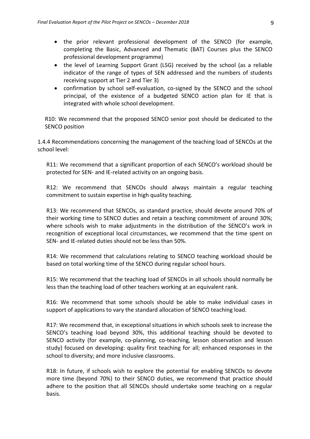- the prior relevant professional development of the SENCO (for example, completing the Basic, Advanced and Thematic (BAT) Courses plus the SENCO professional development programme)
- the level of Learning Support Grant (LSG) received by the school (as a reliable indicator of the range of types of SEN addressed and the numbers of students receiving support at Tier 2 and Tier 3)
- confirmation by school self-evaluation, co-signed by the SENCO and the school principal, of the existence of a budgeted SENCO action plan for IE that is integrated with whole school development.

R10: We recommend that the proposed SENCO senior post should be dedicated to the SENCO position

1.4.4 Recommendations concerning the management of the teaching load of SENCOs at the school level:

R11: We recommend that a significant proportion of each SENCO's workload should be protected for SEN- and IE-related activity on an ongoing basis.

R12: We recommend that SENCOs should always maintain a regular teaching commitment to sustain expertise in high quality teaching.

R13: We recommend that SENCOs, as standard practice, should devote around 70% of their working time to SENCO duties and retain a teaching commitment of around 30%; where schools wish to make adjustments in the distribution of the SENCO's work in recognition of exceptional local circumstances, we recommend that the time spent on SEN- and IE-related duties should not be less than 50%.

R14: We recommend that calculations relating to SENCO teaching workload should be based on total working time of the SENCO during regular school hours.

R15: We recommend that the teaching load of SENCOs in all schools should normally be less than the teaching load of other teachers working at an equivalent rank.

R16: We recommend that some schools should be able to make individual cases in support of applications to vary the standard allocation of SENCO teaching load.

R17: We recommend that, in exceptional situations in which schools seek to increase the SENCO's teaching load beyond 30%, this additional teaching should be devoted to SENCO activity (for example, co-planning, co-teaching, lesson observation and lesson study) focused on developing: quality first teaching for all; enhanced responses in the school to diversity; and more inclusive classrooms.

R18: In future, if schools wish to explore the potential for enabling SENCOs to devote more time (beyond 70%) to their SENCO duties, we recommend that practice should adhere to the position that all SENCOs should undertake some teaching on a regular basis.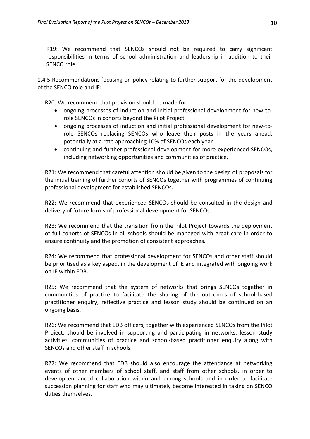R19: We recommend that SENCOs should not be required to carry significant responsibilities in terms of school administration and leadership in addition to their SENCO role.

1.4.5 Recommendations focusing on policy relating to further support for the development of the SENCO role and IE:

R20: We recommend that provision should be made for:

- ongoing processes of induction and initial professional development for new-torole SENCOs in cohorts beyond the Pilot Project
- ongoing processes of induction and initial professional development for new-torole SENCOs replacing SENCOs who leave their posts in the years ahead, potentially at a rate approaching 10% of SENCOs each year
- continuing and further professional development for more experienced SENCOs, including networking opportunities and communities of practice.

R21: We recommend that careful attention should be given to the design of proposals for the initial training of further cohorts of SENCOs together with programmes of continuing professional development for established SENCOs.

R22: We recommend that experienced SENCOs should be consulted in the design and delivery of future forms of professional development for SENCOs.

R23: We recommend that the transition from the Pilot Project towards the deployment of full cohorts of SENCOs in all schools should be managed with great care in order to ensure continuity and the promotion of consistent approaches.

R24: We recommend that professional development for SENCOs and other staff should be prioritised as a key aspect in the development of IE and integrated with ongoing work on IE within EDB.

R25: We recommend that the system of networks that brings SENCOs together in communities of practice to facilitate the sharing of the outcomes of school-based practitioner enquiry, reflective practice and lesson study should be continued on an ongoing basis.

R26: We recommend that EDB officers, together with experienced SENCOs from the Pilot Project, should be involved in supporting and participating in networks, lesson study activities, communities of practice and school-based practitioner enquiry along with SENCOs and other staff in schools.

R27: We recommend that EDB should also encourage the attendance at networking events of other members of school staff, and staff from other schools, in order to develop enhanced collaboration within and among schools and in order to facilitate succession planning for staff who may ultimately become interested in taking on SENCO duties themselves.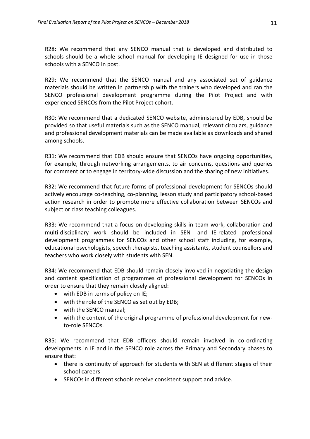R28: We recommend that any SENCO manual that is developed and distributed to schools should be a whole school manual for developing IE designed for use in those schools with a SENCO in post.

R29: We recommend that the SENCO manual and any associated set of guidance materials should be written in partnership with the trainers who developed and ran the SENCO professional development programme during the Pilot Project and with experienced SENCOs from the Pilot Project cohort.

R30: We recommend that a dedicated SENCO website, administered by EDB, should be provided so that useful materials such as the SENCO manual, relevant circulars, guidance and professional development materials can be made available as downloads and shared among schools.

R31: We recommend that EDB should ensure that SENCOs have ongoing opportunities, for example, through networking arrangements, to air concerns, questions and queries for comment or to engage in territory-wide discussion and the sharing of new initiatives.

R32: We recommend that future forms of professional development for SENCOs should actively encourage co-teaching, co-planning, lesson study and participatory school-based action research in order to promote more effective collaboration between SENCOs and subject or class teaching colleagues.

R33: We recommend that a focus on developing skills in team work, collaboration and multi-disciplinary work should be included in SEN- and IE-related professional development programmes for SENCOs and other school staff including, for example, educational psychologists, speech therapists, teaching assistants, student counsellors and teachers who work closely with students with SEN.

R34: We recommend that EDB should remain closely involved in negotiating the design and content specification of programmes of professional development for SENCOs in order to ensure that they remain closely aligned:

- with EDB in terms of policy on IE;
- with the role of the SENCO as set out by EDB;
- with the SENCO manual;
- with the content of the original programme of professional development for newto-role SENCOs.

R35: We recommend that EDB officers should remain involved in co-ordinating developments in IE and in the SENCO role across the Primary and Secondary phases to ensure that:

- there is continuity of approach for students with SEN at different stages of their school careers
- SENCOs in different schools receive consistent support and advice.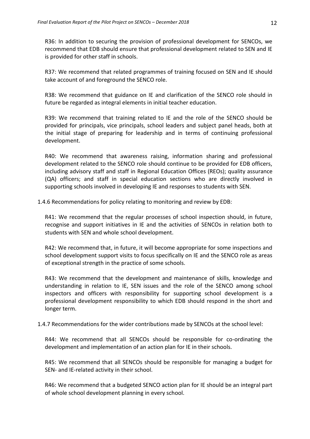R36: In addition to securing the provision of professional development for SENCOs, we recommend that EDB should ensure that professional development related to SEN and IE is provided for other staff in schools.

R37: We recommend that related programmes of training focused on SEN and IE should take account of and foreground the SENCO role.

R38: We recommend that guidance on IE and clarification of the SENCO role should in future be regarded as integral elements in initial teacher education.

R39: We recommend that training related to IE and the role of the SENCO should be provided for principals, vice principals, school leaders and subject panel heads, both at the initial stage of preparing for leadership and in terms of continuing professional development.

R40: We recommend that awareness raising, information sharing and professional development related to the SENCO role should continue to be provided for EDB officers, including advisory staff and staff in Regional Education Offices (REOs); quality assurance (QA) officers; and staff in special education sections who are directly involved in supporting schools involved in developing IE and responses to students with SEN.

### 1.4.6 Recommendations for policy relating to monitoring and review by EDB:

R41: We recommend that the regular processes of school inspection should, in future, recognise and support initiatives in IE and the activities of SENCOs in relation both to students with SEN and whole school development.

R42: We recommend that, in future, it will become appropriate for some inspections and school development support visits to focus specifically on IE and the SENCO role as areas of exceptional strength in the practice of some schools.

R43: We recommend that the development and maintenance of skills, knowledge and understanding in relation to IE, SEN issues and the role of the SENCO among school inspectors and officers with responsibility for supporting school development is a professional development responsibility to which EDB should respond in the short and longer term.

### 1.4.7 Recommendations for the wider contributions made by SENCOs at the school level:

R44: We recommend that all SENCOs should be responsible for co-ordinating the development and implementation of an action plan for IE in their schools.

R45: We recommend that all SENCOs should be responsible for managing a budget for SEN- and IE-related activity in their school.

R46: We recommend that a budgeted SENCO action plan for IE should be an integral part of whole school development planning in every school.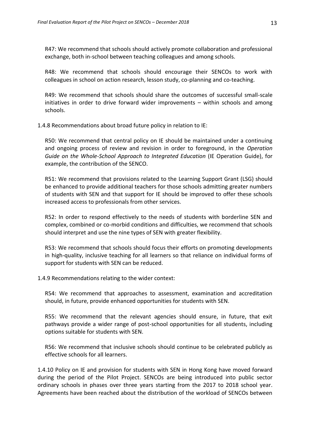R47: We recommend that schools should actively promote collaboration and professional exchange, both in-school between teaching colleagues and among schools.

R48: We recommend that schools should encourage their SENCOs to work with colleagues in school on action research, lesson study, co-planning and co-teaching.

R49: We recommend that schools should share the outcomes of successful small-scale initiatives in order to drive forward wider improvements – within schools and among schools.

1.4.8 Recommendations about broad future policy in relation to IE:

R50: We recommend that central policy on IE should be maintained under a continuing and ongoing process of review and revision in order to foreground, in the *Operation Guide on the Whole-School Approach to Integrated Education* (IE Operation Guide), for example, the contribution of the SENCO.

R51: We recommend that provisions related to the Learning Support Grant (LSG) should be enhanced to provide additional teachers for those schools admitting greater numbers of students with SEN and that support for IE should be improved to offer these schools increased access to professionals from other services.

R52: In order to respond effectively to the needs of students with borderline SEN and complex, combined or co-morbid conditions and difficulties, we recommend that schools should interpret and use the nine types of SEN with greater flexibility.

R53: We recommend that schools should focus their efforts on promoting developments in high-quality, inclusive teaching for all learners so that reliance on individual forms of support for students with SEN can be reduced.

1.4.9 Recommendations relating to the wider context:

R54: We recommend that approaches to assessment, examination and accreditation should, in future, provide enhanced opportunities for students with SEN.

R55: We recommend that the relevant agencies should ensure, in future, that exit pathways provide a wider range of post-school opportunities for all students, including options suitable for students with SEN.

R56: We recommend that inclusive schools should continue to be celebrated publicly as effective schools for all learners.

1.4.10 Policy on IE and provision for students with SEN in Hong Kong have moved forward during the period of the Pilot Project. SENCOs are being introduced into public sector ordinary schools in phases over three years starting from the 2017 to 2018 school year. Agreements have been reached about the distribution of the workload of SENCOs between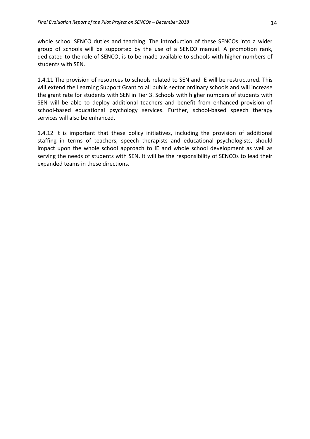whole school SENCO duties and teaching. The introduction of these SENCOs into a wider group of schools will be supported by the use of a SENCO manual. A promotion rank, dedicated to the role of SENCO, is to be made available to schools with higher numbers of students with SEN.

1.4.11 The provision of resources to schools related to SEN and IE will be restructured. This will extend the Learning Support Grant to all public sector ordinary schools and will increase the grant rate for students with SEN in Tier 3. Schools with higher numbers of students with SEN will be able to deploy additional teachers and benefit from enhanced provision of school-based educational psychology services. Further, school-based speech therapy services will also be enhanced.

1.4.12 It is important that these policy initiatives, including the provision of additional staffing in terms of teachers, speech therapists and educational psychologists, should impact upon the whole school approach to IE and whole school development as well as serving the needs of students with SEN. It will be the responsibility of SENCOs to lead their expanded teams in these directions.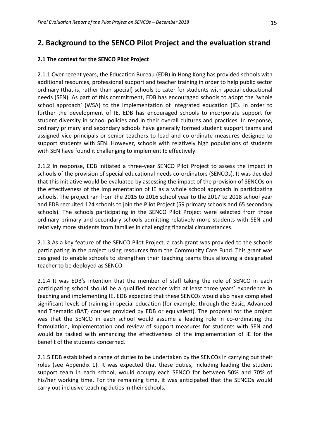# **2. Background to the SENCO Pilot Project and the evaluation strand**

### **2.1 The context for the SENCO Pilot Project**

2.1.1 Over recent years, the Education Bureau (EDB) in Hong Kong has provided schools with additional resources, professional support and teacher training in order to help public sector ordinary (that is, rather than special) schools to cater for students with special educational needs (SEN). As part of this commitment, EDB has encouraged schools to adopt the 'whole school approach' (WSA) to the implementation of integrated education (IE). In order to further the development of IE, EDB has encouraged schools to incorporate support for student diversity in school policies and in their overall cultures and practices. In response, ordinary primary and secondary schools have generally formed student support teams and assigned vice-principals or senior teachers to lead and co-ordinate measures designed to support students with SEN. However, schools with relatively high populations of students with SEN have found it challenging to implement IE effectively.

2.1.2 In response, EDB initiated a three-year SENCO Pilot Project to assess the impact in schools of the provision of special educational needs co-ordinators (SENCOs). It was decided that this initiative would be evaluated by assessing the impact of the provision of SENCOs on the effectiveness of the implementation of IE as a whole school approach in participating schools. The project ran from the 2015 to 2016 school year to the 2017 to 2018 school year and EDB recruited 124 schools to join the Pilot Project (59 primary schools and 65 secondary schools). The schools participating in the SENCO Pilot Project were selected from those ordinary primary and secondary schools admitting relatively more students with SEN and relatively more students from families in challenging financial circumstances.

2.1.3 As a key feature of the SENCO Pilot Project, a cash grant was provided to the schools participating in the project using resources from the Community Care Fund. This grant was designed to enable schools to strengthen their teaching teams thus allowing a designated teacher to be deployed as SENCO.

2.1.4 It was EDB's intention that the member of staff taking the role of SENCO in each participating school should be a qualified teacher with at least three years' experience in teaching and implementing IE. EDB expected that these SENCOs would also have completed significant levels of training in special education (for example, through the Basic, Advanced and Thematic (BAT) courses provided by EDB or equivalent). The proposal for the project was that the SENCO in each school would assume a leading role in co-ordinating the formulation, implementation and review of support measures for students with SEN and would be tasked with enhancing the effectiveness of the implementation of IE for the benefit of the students concerned.

2.1.5 EDB established a range of duties to be undertaken by the SENCOs in carrying out their roles (see Appendix 1). It was expected that these duties, including leading the student support team in each school, would occupy each SENCO for between 50% and 70% of his/her working time. For the remaining time, it was anticipated that the SENCOs would carry out inclusive teaching duties in their schools.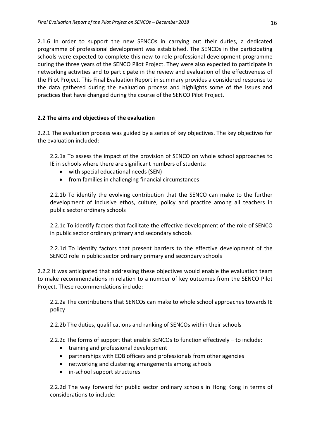2.1.6 In order to support the new SENCOs in carrying out their duties, a dedicated programme of professional development was established. The SENCOs in the participating schools were expected to complete this new-to-role professional development programme during the three years of the SENCO Pilot Project. They were also expected to participate in networking activities and to participate in the review and evaluation of the effectiveness of the Pilot Project. This Final Evaluation Report in summary provides a considered response to the data gathered during the evaluation process and highlights some of the issues and practices that have changed during the course of the SENCO Pilot Project.

# **2.2 The aims and objectives of the evaluation**

2.2.1 The evaluation process was guided by a series of key objectives. The key objectives for the evaluation included:

2.2.1a To assess the impact of the provision of SENCO on whole school approaches to IE in schools where there are significant numbers of students:

- with special educational needs (SEN)
- from families in challenging financial circumstances

2.2.1b To identify the evolving contribution that the SENCO can make to the further development of inclusive ethos, culture, policy and practice among all teachers in public sector ordinary schools

2.2.1c To identify factors that facilitate the effective development of the role of SENCO in public sector ordinary primary and secondary schools

2.2.1d To identify factors that present barriers to the effective development of the SENCO role in public sector ordinary primary and secondary schools

2.2.2 It was anticipated that addressing these objectives would enable the evaluation team to make recommendations in relation to a number of key outcomes from the SENCO Pilot Project. These recommendations include:

2.2.2a The contributions that SENCOs can make to whole school approaches towards IE policy

2.2.2b The duties, qualifications and ranking of SENCOs within their schools

2.2.2c The forms of support that enable SENCOs to function effectively – to include:

- training and professional development
- partnerships with EDB officers and professionals from other agencies
- networking and clustering arrangements among schools
- in-school support structures

2.2.2d The way forward for public sector ordinary schools in Hong Kong in terms of considerations to include: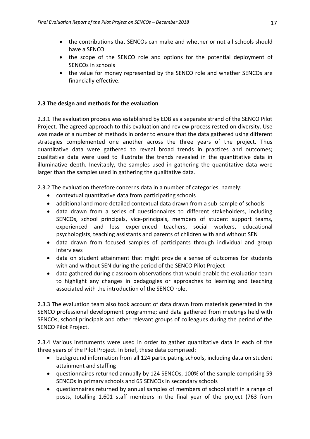- the contributions that SENCOs can make and whether or not all schools should have a SENCO
- the scope of the SENCO role and options for the potential deployment of SENCOs in schools
- the value for money represented by the SENCO role and whether SENCOs are financially effective.

# **2.3 The design and methods for the evaluation**

2.3.1 The evaluation process was established by EDB as a separate strand of the SENCO Pilot Project. The agreed approach to this evaluation and review process rested on diversity. Use was made of a number of methods in order to ensure that the data gathered using different strategies complemented one another across the three years of the project. Thus quantitative data were gathered to reveal broad trends in practices and outcomes; qualitative data were used to illustrate the trends revealed in the quantitative data in illuminative depth. Inevitably, the samples used in gathering the quantitative data were larger than the samples used in gathering the qualitative data.

2.3.2 The evaluation therefore concerns data in a number of categories, namely:

- contextual quantitative data from participating schools
- additional and more detailed contextual data drawn from a sub-sample of schools
- data drawn from a series of questionnaires to different stakeholders, including SENCOs, school principals, vice-principals, members of student support teams, experienced and less experienced teachers, social workers, educational psychologists, teaching assistants and parents of children with and without SEN
- data drawn from focused samples of participants through individual and group interviews
- data on student attainment that might provide a sense of outcomes for students with and without SEN during the period of the SENCO Pilot Project
- data gathered during classroom observations that would enable the evaluation team to highlight any changes in pedagogies or approaches to learning and teaching associated with the introduction of the SENCO role.

2.3.3 The evaluation team also took account of data drawn from materials generated in the SENCO professional development programme; and data gathered from meetings held with SENCOs, school principals and other relevant groups of colleagues during the period of the SENCO Pilot Project.

2.3.4 Various instruments were used in order to gather quantitative data in each of the three years of the Pilot Project. In brief, these data comprised:

- background information from all 124 participating schools, including data on student attainment and staffing
- questionnaires returned annually by 124 SENCOs, 100% of the sample comprising 59 SENCOs in primary schools and 65 SENCOs in secondary schools
- questionnaires returned by annual samples of members of school staff in a range of posts, totalling 1,601 staff members in the final year of the project (763 from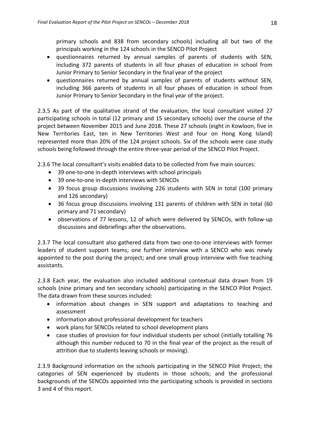primary schools and 838 from secondary schools) including all but two of the principals working in the 124 schools in the SENCO Pilot Project

- questionnaires returned by annual samples of parents of students with SEN, including 372 parents of students in all four phases of education in school from Junior Primary to Senior Secondary in the final year of the project
- questionnaires returned by annual samples of parents of students without SEN, including 366 parents of students in all four phases of education in school from Junior Primary to Senior Secondary in the final year of the project.

2.3.5 As part of the qualitative strand of the evaluation, the local consultant visited 27 participating schools in total (12 primary and 15 secondary schools) over the course of the project between November 2015 and June 2018. These 27 schools (eight in Kowloon, five in New Territories East, ten in New Territories West and four on Hong Kong Island) represented more than 20% of the 124 project schools. Six of the schools were case study schools being followed through the entire three-year period of the SENCO Pilot Project.

2.3.6 The local consultant's visits enabled data to be collected from five main sources:

- 39 one-to-one in-depth interviews with school principals
- 39 one-to-one in-depth interviews with SENCOs
- 39 focus group discussions involving 226 students with SEN in total (100 primary and 126 secondary)
- 36 focus group discussions involving 131 parents of children with SEN in total (60 primary and 71 secondary)
- observations of 77 lessons, 12 of which were delivered by SENCOs, with follow-up discussions and debriefings after the observations.

2.3.7 The local consultant also gathered data from two one-to-one interviews with former leaders of student support teams; one further interview with a SENCO who was newly appointed to the post during the project; and one small group interview with five teaching assistants.

2.3.8 Each year, the evaluation also included additional contextual data drawn from 19 schools (nine primary and ten secondary schools) participating in the SENCO Pilot Project. The data drawn from these sources included:

- information about changes in SEN support and adaptations to teaching and assessment
- information about professional development for teachers
- work plans for SENCOs related to school development plans
- case studies of provision for four individual students per school (initially totalling 76 although this number reduced to 70 in the final year of the project as the result of attrition due to students leaving schools or moving).

2.3.9 Background information on the schools participating in the SENCO Pilot Project; the categories of SEN experienced by students in those schools; and the professional backgrounds of the SENCOs appointed into the participating schools is provided in sections 3 and 4 of this report.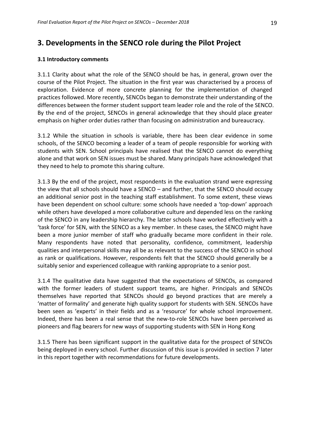# **3. Developments in the SENCO role during the Pilot Project**

#### **3.1 Introductory comments**

3.1.1 Clarity about what the role of the SENCO should be has, in general, grown over the course of the Pilot Project. The situation in the first year was characterised by a process of exploration. Evidence of more concrete planning for the implementation of changed practices followed. More recently, SENCOs began to demonstrate their understanding of the differences between the former student support team leader role and the role of the SENCO. By the end of the project, SENCOs in general acknowledge that they should place greater emphasis on higher order duties rather than focusing on administration and bureaucracy.

3.1.2 While the situation in schools is variable, there has been clear evidence in some schools, of the SENCO becoming a leader of a team of people responsible for working with students with SEN. School principals have realised that the SENCO cannot do everything alone and that work on SEN issues must be shared. Many principals have acknowledged that they need to help to promote this sharing culture.

3.1.3 By the end of the project, most respondents in the evaluation strand were expressing the view that all schools should have a SENCO – and further, that the SENCO should occupy an additional senior post in the teaching staff establishment. To some extent, these views have been dependent on school culture: some schools have needed a 'top-down' approach while others have developed a more collaborative culture and depended less on the ranking of the SENCO in any leadership hierarchy. The latter schools have worked effectively with a 'task force' for SEN, with the SENCO as a key member. In these cases, the SENCO might have been a more junior member of staff who gradually became more confident in their role. Many respondents have noted that personality, confidence, commitment, leadership qualities and interpersonal skills may all be as relevant to the success of the SENCO in school as rank or qualifications. However, respondents felt that the SENCO should generally be a suitably senior and experienced colleague with ranking appropriate to a senior post.

3.1.4 The qualitative data have suggested that the expectations of SENCOs, as compared with the former leaders of student support teams, are higher. Principals and SENCOs themselves have reported that SENCOs should go beyond practices that are merely a 'matter of formality' and generate high quality support for students with SEN. SENCOs have been seen as 'experts' in their fields and as a 'resource' for whole school improvement. Indeed, there has been a real sense that the new-to-role SENCOs have been perceived as pioneers and flag bearers for new ways of supporting students with SEN in Hong Kong

3.1.5 There has been significant support in the qualitative data for the prospect of SENCOs being deployed in every school. Further discussion of this issue is provided in section 7 later in this report together with recommendations for future developments.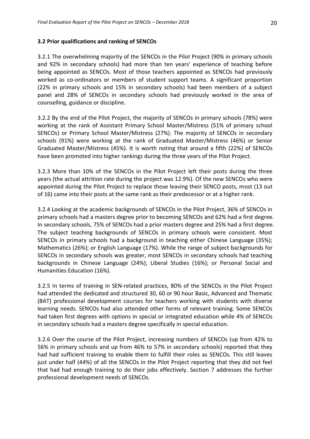### **3.2 Prior qualifications and ranking of SENCOs**

3.2.1 The overwhelming majority of the SENCOs in the Pilot Project (90% in primary schools and 92% in secondary schools) had more than ten years' experience of teaching before being appointed as SENCOs. Most of those teachers appointed as SENCOs had previously worked as co-ordinators or members of student support teams. A significant proportion (22% in primary schools and 15% in secondary schools) had been members of a subject panel and 28% of SENCOs in secondary schools had previously worked in the area of counselling, guidance or discipline.

3.2.2 By the end of the Pilot Project, the majority of SENCOs in primary schools (78%) were working at the rank of Assistant Primary School Master/Mistress (51% of primary school SENCOs) or Primary School Master/Mistress (27%). The majority of SENCOs in secondary schools (91%) were working at the rank of Graduated Master/Mistress (46%) or Senior Graduated Master/Mistress (45%). It is worth noting that around a fifth (22%) of SENCOs have been promoted into higher rankings during the three years of the Pilot Project.

3.2.3 More than 10% of the SENCOs in the Pilot Project left their posts during the three years (the actual attrition rate during the project was 12.9%). Of the new SENCOs who were appointed during the Pilot Project to replace those leaving their SENCO posts, most (13 out of 16) came into their posts at the same rank as their predecessor or at a higher rank.

3.2.4 Looking at the academic backgrounds of SENCOs in the Pilot Project, 36% of SENCOs in primary schools had a masters degree prior to becoming SENCOs and 62% had a first degree. In secondary schools, 75% of SENCOs had a prior masters degree and 25% had a first degree. The subject teaching backgrounds of SENCOs in primary schools were consistent. Most SENCOs in primary schools had a background in teaching either Chinese Language (35%); Mathematics (26%); or English Language (17%). While the range of subject backgrounds for SENCOs in secondary schools was greater, most SENCOs in secondary schools had teaching backgrounds in Chinese Language (24%); Liberal Studies (16%); or Personal Social and Humanities Education (16%).

3.2.5 In terms of training in SEN-related practices, 80% of the SENCOs in the Pilot Project had attended the dedicated and structured 30, 60 or 90 hour Basic, Advanced and Thematic (BAT) professional development courses for teachers working with students with diverse learning needs. SENCOs had also attended other forms of relevant training. Some SENCOs had taken first degrees with options in special or integrated education while 4% of SENCOs in secondary schools had a masters degree specifically in special education.

3.2.6 Over the course of the Pilot Project, increasing numbers of SENCOs (up from 42% to 56% in primary schools and up from 46% to 57% in secondary schools) reported that they had had sufficient training to enable them to fulfill their roles as SENCOs. This still leaves just under half (44%) of all the SENCOs in the Pilot Project reporting that they did not feel that had had enough training to do their jobs effectively. Section 7 addresses the further professional development needs of SENCOs.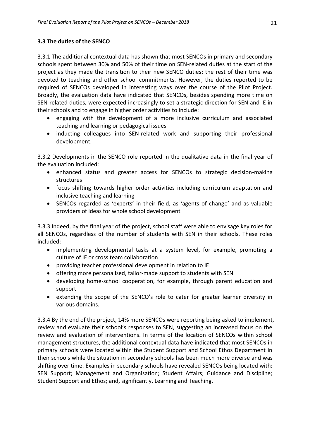# **3.3 The duties of the SENCO**

3.3.1 The additional contextual data has shown that most SENCOs in primary and secondary schools spent between 30% and 50% of their time on SEN-related duties at the start of the project as they made the transition to their new SENCO duties; the rest of their time was devoted to teaching and other school commitments. However, the duties reported to be required of SENCOs developed in interesting ways over the course of the Pilot Project. Broadly, the evaluation data have indicated that SENCOs, besides spending more time on SEN-related duties, were expected increasingly to set a strategic direction for SEN and IE in their schools and to engage in higher order activities to include:

- engaging with the development of a more inclusive curriculum and associated teaching and learning or pedagogical issues
- inducting colleagues into SEN-related work and supporting their professional development.

3.3.2 Developments in the SENCO role reported in the qualitative data in the final year of the evaluation included:

- enhanced status and greater access for SENCOs to strategic decision-making structures
- focus shifting towards higher order activities including curriculum adaptation and inclusive teaching and learning
- SENCOs regarded as 'experts' in their field, as 'agents of change' and as valuable providers of ideas for whole school development

3.3.3 Indeed, by the final year of the project, school staff were able to envisage key roles for all SENCOs, regardless of the number of students with SEN in their schools. These roles included:

- implementing developmental tasks at a system level, for example, promoting a culture of IE or cross team collaboration
- providing teacher professional development in relation to IE
- offering more personalised, tailor-made support to students with SEN
- developing home-school cooperation, for example, through parent education and support
- extending the scope of the SENCO's role to cater for greater learner diversity in various domains.

3.3.4 By the end of the project, 14% more SENCOs were reporting being asked to implement, review and evaluate their school's responses to SEN, suggesting an increased focus on the review and evaluation of interventions. In terms of the location of SENCOs within school management structures, the additional contextual data have indicated that most SENCOs in primary schools were located within the Student Support and School Ethos Department in their schools while the situation in secondary schools has been much more diverse and was shifting over time. Examples in secondary schools have revealed SENCOs being located with: SEN Support; Management and Organisation; Student Affairs; Guidance and Discipline; Student Support and Ethos; and, significantly, Learning and Teaching.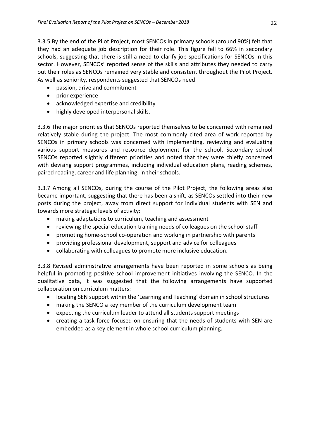3.3.5 By the end of the Pilot Project, most SENCOs in primary schools (around 90%) felt that they had an adequate job description for their role. This figure fell to 66% in secondary schools, suggesting that there is still a need to clarify job specifications for SENCOs in this sector. However, SENCOs' reported sense of the skills and attributes they needed to carry out their roles as SENCOs remained very stable and consistent throughout the Pilot Project. As well as seniority, respondents suggested that SENCOs need:

- passion, drive and commitment
- prior experience
- acknowledged expertise and credibility
- highly developed interpersonal skills.

3.3.6 The major priorities that SENCOs reported themselves to be concerned with remained relatively stable during the project. The most commonly cited area of work reported by SENCOs in primary schools was concerned with implementing, reviewing and evaluating various support measures and resource deployment for the school. Secondary school SENCOs reported slightly different priorities and noted that they were chiefly concerned with devising support programmes, including individual education plans, reading schemes, paired reading, career and life planning, in their schools.

3.3.7 Among all SENCOs, during the course of the Pilot Project, the following areas also became important, suggesting that there has been a shift, as SENCOs settled into their new posts during the project, away from direct support for individual students with SEN and towards more strategic levels of activity:

- making adaptations to curriculum, teaching and assessment
- reviewing the special education training needs of colleagues on the school staff
- promoting home-school co-operation and working in partnership with parents
- providing professional development, support and advice for colleagues
- collaborating with colleagues to promote more inclusive education.

3.3.8 Revised administrative arrangements have been reported in some schools as being helpful in promoting positive school improvement initiatives involving the SENCO. In the qualitative data, it was suggested that the following arrangements have supported collaboration on curriculum matters:

- locating SEN support within the 'Learning and Teaching' domain in school structures
- making the SENCO a key member of the curriculum development team
- expecting the curriculum leader to attend all students support meetings
- creating a task force focused on ensuring that the needs of students with SEN are embedded as a key element in whole school curriculum planning.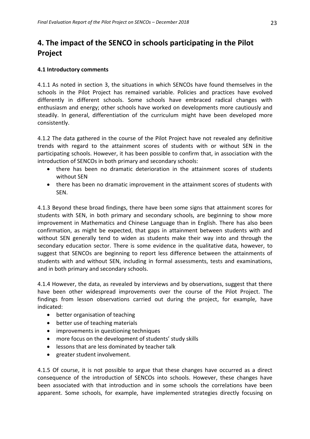# **4. The impact of the SENCO in schools participating in the Pilot Project**

### **4.1 Introductory comments**

4.1.1 As noted in section 3, the situations in which SENCOs have found themselves in the schools in the Pilot Project has remained variable. Policies and practices have evolved differently in different schools. Some schools have embraced radical changes with enthusiasm and energy; other schools have worked on developments more cautiously and steadily. In general, differentiation of the curriculum might have been developed more consistently.

4.1.2 The data gathered in the course of the Pilot Project have not revealed any definitive trends with regard to the attainment scores of students with or without SEN in the participating schools. However, it has been possible to confirm that, in association with the introduction of SENCOs in both primary and secondary schools:

- there has been no dramatic deterioration in the attainment scores of students without SEN
- there has been no dramatic improvement in the attainment scores of students with SEN.

4.1.3 Beyond these broad findings, there have been some signs that attainment scores for students with SEN, in both primary and secondary schools, are beginning to show more improvement in Mathematics and Chinese Language than in English. There has also been confirmation, as might be expected, that gaps in attainment between students with and without SEN generally tend to widen as students make their way into and through the secondary education sector. There is some evidence in the qualitative data, however, to suggest that SENCOs are beginning to report less difference between the attainments of students with and without SEN, including in formal assessments, tests and examinations, and in both primary and secondary schools.

4.1.4 However, the data, as revealed by interviews and by observations, suggest that there have been other widespread improvements over the course of the Pilot Project. The findings from lesson observations carried out during the project, for example, have indicated:

- better organisation of teaching
- better use of teaching materials
- improvements in questioning techniques
- more focus on the development of students' study skills
- lessons that are less dominated by teacher talk
- greater student involvement.

4.1.5 Of course, it is not possible to argue that these changes have occurred as a direct consequence of the introduction of SENCOs into schools. However, these changes have been associated with that introduction and in some schools the correlations have been apparent. Some schools, for example, have implemented strategies directly focusing on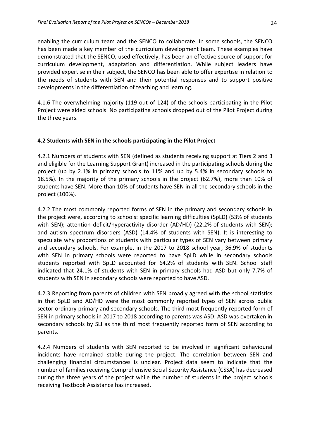enabling the curriculum team and the SENCO to collaborate. In some schools, the SENCO has been made a key member of the curriculum development team. These examples have demonstrated that the SENCO, used effectively, has been an effective source of support for curriculum development, adaptation and differentiation. While subject leaders have provided expertise in their subject, the SENCO has been able to offer expertise in relation to the needs of students with SEN and their potential responses and to support positive developments in the differentiation of teaching and learning.

4.1.6 The overwhelming majority (119 out of 124) of the schools participating in the Pilot Project were aided schools. No participating schools dropped out of the Pilot Project during the three years.

### **4.2 Students with SEN in the schools participating in the Pilot Project**

4.2.1 Numbers of students with SEN (defined as students receiving support at Tiers 2 and 3 and eligible for the Learning Support Grant) increased in the participating schools during the project (up by 2.1% in primary schools to 11% and up by 5.4% in secondary schools to 18.5%). In the majority of the primary schools in the project (62.7%), more than 10% of students have SEN. More than 10% of students have SEN in all the secondary schools in the project (100%).

4.2.2 The most commonly reported forms of SEN in the primary and secondary schools in the project were, according to schools: specific learning difficulties (SpLD) (53% of students with SEN); attention deficit/hyperactivity disorder (AD/HD) (22.2% of students with SEN); and autism spectrum disorders (ASD) (14.4% of students with SEN). It is interesting to speculate why proportions of students with particular types of SEN vary between primary and secondary schools. For example, in the 2017 to 2018 school year, 36.9% of students with SEN in primary schools were reported to have SpLD while in secondary schools students reported with SpLD accounted for 64.2% of students with SEN. School staff indicated that 24.1% of students with SEN in primary schools had ASD but only 7.7% of students with SEN in secondary schools were reported to have ASD.

4.2.3 Reporting from parents of children with SEN broadly agreed with the school statistics in that SpLD and AD/HD were the most commonly reported types of SEN across public sector ordinary primary and secondary schools. The third most frequently reported form of SEN in primary schools in 2017 to 2018 according to parents was ASD. ASD was overtaken in secondary schools by SLI as the third most frequently reported form of SEN according to parents.

4.2.4 Numbers of students with SEN reported to be involved in significant behavioural incidents have remained stable during the project. The correlation between SEN and challenging financial circumstances is unclear. Project data seem to indicate that the number of families receiving Comprehensive Social Security Assistance (CSSA) has decreased during the three years of the project while the number of students in the project schools receiving Textbook Assistance has increased.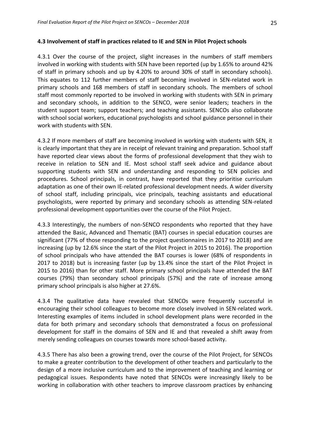### **4.3 Involvement of staff in practices related to IE and SEN in Pilot Project schools**

4.3.1 Over the course of the project, slight increases in the numbers of staff members involved in working with students with SEN have been reported (up by 1.65% to around 42% of staff in primary schools and up by 4.20% to around 30% of staff in secondary schools). This equates to 112 further members of staff becoming involved in SEN-related work in primary schools and 168 members of staff in secondary schools. The members of school staff most commonly reported to be involved in working with students with SEN in primary and secondary schools, in addition to the SENCO, were senior leaders; teachers in the student support team; support teachers; and teaching assistants. SENCOs also collaborate with school social workers, educational psychologists and school guidance personnel in their work with students with SEN.

4.3.2 If more members of staff are becoming involved in working with students with SEN, it is clearly important that they are in receipt of relevant training and preparation. School staff have reported clear views about the forms of professional development that they wish to receive in relation to SEN and IE. Most school staff seek advice and guidance about supporting students with SEN and understanding and responding to SEN policies and procedures. School principals, in contrast, have reported that they prioritise curriculum adaptation as one of their own IE-related professional development needs. A wider diversity of school staff, including principals, vice principals, teaching assistants and educational psychologists, were reported by primary and secondary schools as attending SEN-related professional development opportunities over the course of the Pilot Project.

4.3.3 Interestingly, the numbers of non-SENCO respondents who reported that they have attended the Basic, Advanced and Thematic (BAT) courses in special education courses are significant (77% of those responding to the project questionnaires in 2017 to 2018) and are increasing (up by 12.6% since the start of the Pilot Project in 2015 to 2016). The proportion of school principals who have attended the BAT courses is lower (68% of respondents in 2017 to 2018) but is increasing faster (up by 13.4% since the start of the Pilot Project in 2015 to 2016) than for other staff. More primary school principals have attended the BAT courses (79%) than secondary school principals (57%) and the rate of increase among primary school principals is also higher at 27.6%.

4.3.4 The qualitative data have revealed that SENCOs were frequently successful in encouraging their school colleagues to become more closely involved in SEN-related work. Interesting examples of items included in school development plans were recorded in the data for both primary and secondary schools that demonstrated a focus on professional development for staff in the domains of SEN and IE and that revealed a shift away from merely sending colleagues on courses towards more school-based activity.

4.3.5 There has also been a growing trend, over the course of the Pilot Project, for SENCOs to make a greater contribution to the development of other teachers and particularly to the design of a more inclusive curriculum and to the improvement of teaching and learning or pedagogical issues. Respondents have noted that SENCOs were increasingly likely to be working in collaboration with other teachers to improve classroom practices by enhancing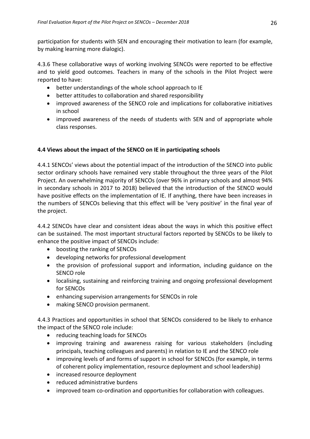participation for students with SEN and encouraging their motivation to learn (for example, by making learning more dialogic).

4.3.6 These collaborative ways of working involving SENCOs were reported to be effective and to yield good outcomes. Teachers in many of the schools in the Pilot Project were reported to have:

- better understandings of the whole school approach to IE
- better attitudes to collaboration and shared responsibility
- improved awareness of the SENCO role and implications for collaborative initiatives in school
- improved awareness of the needs of students with SEN and of appropriate whole class responses.

# **4.4 Views about the impact of the SENCO on IE in participating schools**

4.4.1 SENCOs' views about the potential impact of the introduction of the SENCO into public sector ordinary schools have remained very stable throughout the three years of the Pilot Project. An overwhelming majority of SENCOs (over 96% in primary schools and almost 94% in secondary schools in 2017 to 2018) believed that the introduction of the SENCO would have positive effects on the implementation of IE. If anything, there have been increases in the numbers of SENCOs believing that this effect will be 'very positive' in the final year of the project.

4.4.2 SENCOs have clear and consistent ideas about the ways in which this positive effect can be sustained. The most important structural factors reported by SENCOs to be likely to enhance the positive impact of SENCOs include:

- boosting the ranking of SENCOs
- developing networks for professional development
- the provision of professional support and information, including guidance on the SENCO role
- localising, sustaining and reinforcing training and ongoing professional development for SENCOs
- enhancing supervision arrangements for SENCOs in role
- making SENCO provision permanent.

4.4.3 Practices and opportunities in school that SENCOs considered to be likely to enhance the impact of the SENCO role include:

- reducing teaching loads for SENCOs
- improving training and awareness raising for various stakeholders (including principals, teaching colleagues and parents) in relation to IE and the SENCO role
- improving levels of and forms of support in school for SENCOs (for example, in terms of coherent policy implementation, resource deployment and school leadership)
- increased resource deployment
- reduced administrative burdens
- improved team co-ordination and opportunities for collaboration with colleagues.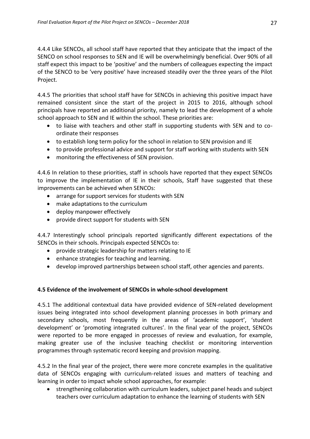4.4.4 Like SENCOs, all school staff have reported that they anticipate that the impact of the SENCO on school responses to SEN and IE will be overwhelmingly beneficial. Over 90% of all staff expect this impact to be 'positive' and the numbers of colleagues expecting the impact of the SENCO to be 'very positive' have increased steadily over the three years of the Pilot Project.

4.4.5 The priorities that school staff have for SENCOs in achieving this positive impact have remained consistent since the start of the project in 2015 to 2016, although school principals have reported an additional priority, namely to lead the development of a whole school approach to SEN and IE within the school. These priorities are:

- to liaise with teachers and other staff in supporting students with SEN and to coordinate their responses
- to establish long term policy for the school in relation to SEN provision and IE
- to provide professional advice and support for staff working with students with SEN
- monitoring the effectiveness of SEN provision.

4.4.6 In relation to these priorities, staff in schools have reported that they expect SENCOs to improve the implementation of IE in their schools, Staff have suggested that these improvements can be achieved when SENCOs:

- arrange for support services for students with SEN
- make adaptations to the curriculum
- deploy manpower effectively
- provide direct support for students with SEN

4.4.7 Interestingly school principals reported significantly different expectations of the SENCOs in their schools. Principals expected SENCOs to:

- provide strategic leadership for matters relating to IE
- enhance strategies for teaching and learning.
- develop improved partnerships between school staff, other agencies and parents.

# **4.5 Evidence of the involvement of SENCOs in whole-school development**

4.5.1 The additional contextual data have provided evidence of SEN-related development issues being integrated into school development planning processes in both primary and secondary schools, most frequently in the areas of 'academic support', 'student development' or 'promoting integrated cultures'. In the final year of the project, SENCOs were reported to be more engaged in processes of review and evaluation, for example, making greater use of the inclusive teaching checklist or monitoring intervention programmes through systematic record keeping and provision mapping.

4.5.2 In the final year of the project, there were more concrete examples in the qualitative data of SENCOs engaging with curriculum-related issues and matters of teaching and learning in order to impact whole school approaches, for example:

 strengthening collaboration with curriculum leaders, subject panel heads and subject teachers over curriculum adaptation to enhance the learning of students with SEN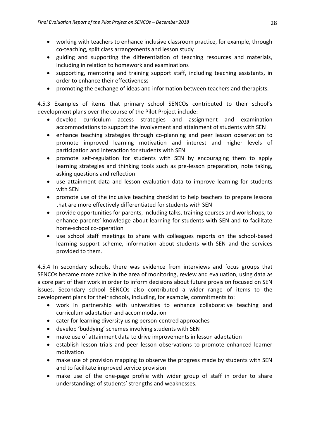- working with teachers to enhance inclusive classroom practice, for example, through co-teaching, split class arrangements and lesson study
- guiding and supporting the differentiation of teaching resources and materials, including in relation to homework and examinations
- supporting, mentoring and training support staff, including teaching assistants, in order to enhance their effectiveness
- promoting the exchange of ideas and information between teachers and therapists.

4.5.3 Examples of items that primary school SENCOs contributed to their school's development plans over the course of the Pilot Project include:

- develop curriculum access strategies and assignment and examination accommodations to support the involvement and attainment of students with SEN
- enhance teaching strategies through co-planning and peer lesson observation to promote improved learning motivation and interest and higher levels of participation and interaction for students with SEN
- promote self-regulation for students with SEN by encouraging them to apply learning strategies and thinking tools such as pre-lesson preparation, note taking, asking questions and reflection
- use attainment data and lesson evaluation data to improve learning for students with SEN
- promote use of the inclusive teaching checklist to help teachers to prepare lessons that are more effectively differentiated for students with SEN
- provide opportunities for parents, including talks, training courses and workshops, to enhance parents' knowledge about learning for students with SEN and to facilitate home-school co-operation
- use school staff meetings to share with colleagues reports on the school-based learning support scheme, information about students with SEN and the services provided to them.

4.5.4 In secondary schools, there was evidence from interviews and focus groups that SENCOs became more active in the area of monitoring, review and evaluation, using data as a core part of their work in order to inform decisions about future provision focused on SEN issues. Secondary school SENCOs also contributed a wider range of items to the development plans for their schools, including, for example, commitments to:

- work in partnership with universities to enhance collaborative teaching and curriculum adaptation and accommodation
- cater for learning diversity using person-centred approaches
- develop 'buddying' schemes involving students with SEN
- make use of attainment data to drive improvements in lesson adaptation
- establish lesson trials and peer lesson observations to promote enhanced learner motivation
- make use of provision mapping to observe the progress made by students with SEN and to facilitate improved service provision
- make use of the one-page profile with wider group of staff in order to share understandings of students' strengths and weaknesses.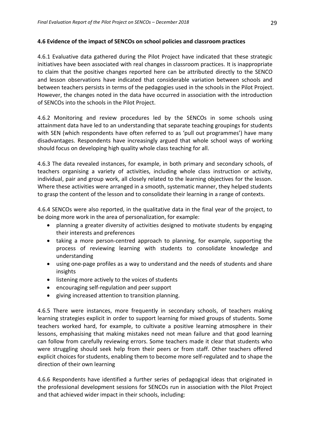### **4.6 Evidence of the impact of SENCOs on school policies and classroom practices**

4.6.1 Evaluative data gathered during the Pilot Project have indicated that these strategic initiatives have been associated with real changes in classroom practices. It is inappropriate to claim that the positive changes reported here can be attributed directly to the SENCO and lesson observations have indicated that considerable variation between schools and between teachers persists in terms of the pedagogies used in the schools in the Pilot Project. However, the changes noted in the data have occurred in association with the introduction of SENCOs into the schools in the Pilot Project.

4.6.2 Monitoring and review procedures led by the SENCOs in some schools using attainment data have led to an understanding that separate teaching groupings for students with SEN (which respondents have often referred to as 'pull out programmes') have many disadvantages. Respondents have increasingly argued that whole school ways of working should focus on developing high quality whole class teaching for all.

4.6.3 The data revealed instances, for example, in both primary and secondary schools, of teachers organising a variety of activities, including whole class instruction or activity, individual, pair and group work, all closely related to the learning objectives for the lesson. Where these activities were arranged in a smooth, systematic manner, they helped students to grasp the content of the lesson and to consolidate their learning in a range of contexts.

4.6.4 SENCOs were also reported, in the qualitative data in the final year of the project, to be doing more work in the area of personalization, for example:

- planning a greater diversity of activities designed to motivate students by engaging their interests and preferences
- taking a more person-centred approach to planning, for example, supporting the process of reviewing learning with students to consolidate knowledge and understanding
- using one-page profiles as a way to understand and the needs of students and share insights
- listening more actively to the voices of students
- encouraging self-regulation and peer support
- giving increased attention to transition planning.

4.6.5 There were instances, more frequently in secondary schools, of teachers making learning strategies explicit in order to support learning for mixed groups of students. Some teachers worked hard, for example, to cultivate a positive learning atmosphere in their lessons, emphasising that making mistakes need not mean failure and that good learning can follow from carefully reviewing errors. Some teachers made it clear that students who were struggling should seek help from their peers or from staff. Other teachers offered explicit choices for students, enabling them to become more self-regulated and to shape the direction of their own learning

4.6.6 Respondents have identified a further series of pedagogical ideas that originated in the professional development sessions for SENCOs run in association with the Pilot Project and that achieved wider impact in their schools, including: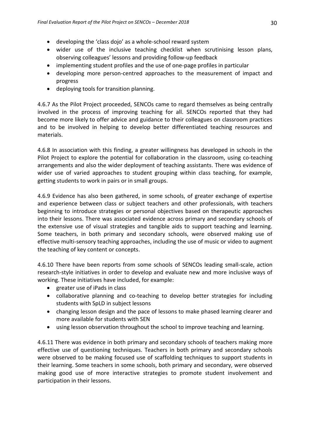- developing the 'class dojo' as a whole-school reward system
- wider use of the inclusive teaching checklist when scrutinising lesson plans, observing colleagues' lessons and providing follow-up feedback
- implementing student profiles and the use of one-page profiles in particular
- developing more person-centred approaches to the measurement of impact and progress
- deploying tools for transition planning.

4.6.7 As the Pilot Project proceeded, SENCOs came to regard themselves as being centrally involved in the process of improving teaching for all. SENCOs reported that they had become more likely to offer advice and guidance to their colleagues on classroom practices and to be involved in helping to develop better differentiated teaching resources and materials.

4.6.8 In association with this finding, a greater willingness has developed in schools in the Pilot Project to explore the potential for collaboration in the classroom, using co-teaching arrangements and also the wider deployment of teaching assistants. There was evidence of wider use of varied approaches to student grouping within class teaching, for example, getting students to work in pairs or in small groups.

4.6.9 Evidence has also been gathered, in some schools, of greater exchange of expertise and experience between class or subject teachers and other professionals, with teachers beginning to introduce strategies or personal objectives based on therapeutic approaches into their lessons. There was associated evidence across primary and secondary schools of the extensive use of visual strategies and tangible aids to support teaching and learning. Some teachers, in both primary and secondary schools, were observed making use of effective multi-sensory teaching approaches, including the use of music or video to augment the teaching of key content or concepts.

4.6.10 There have been reports from some schools of SENCOs leading small-scale, action research-style initiatives in order to develop and evaluate new and more inclusive ways of working. These initiatives have included, for example:

- greater use of iPads in class
- collaborative planning and co-teaching to develop better strategies for including students with SpLD in subject lessons
- changing lesson design and the pace of lessons to make phased learning clearer and more available for students with SEN
- using lesson observation throughout the school to improve teaching and learning.

4.6.11 There was evidence in both primary and secondary schools of teachers making more effective use of questioning techniques. Teachers in both primary and secondary schools were observed to be making focused use of scaffolding techniques to support students in their learning. Some teachers in some schools, both primary and secondary, were observed making good use of more interactive strategies to promote student involvement and participation in their lessons.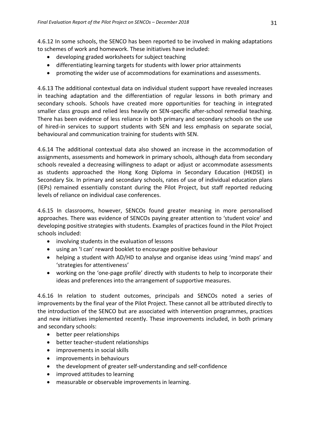4.6.12 In some schools, the SENCO has been reported to be involved in making adaptations to schemes of work and homework. These initiatives have included:

- developing graded worksheets for subject teaching
- differentiating learning targets for students with lower prior attainments
- promoting the wider use of accommodations for examinations and assessments.

4.6.13 The additional contextual data on individual student support have revealed increases in teaching adaptation and the differentiation of regular lessons in both primary and secondary schools. Schools have created more opportunities for teaching in integrated smaller class groups and relied less heavily on SEN-specific after-school remedial teaching. There has been evidence of less reliance in both primary and secondary schools on the use of hired-in services to support students with SEN and less emphasis on separate social, behavioural and communication training for students with SEN.

4.6.14 The additional contextual data also showed an increase in the accommodation of assignments, assessments and homework in primary schools, although data from secondary schools revealed a decreasing willingness to adapt or adjust or accommodate assessments as students approached the Hong Kong Diploma in Secondary Education (HKDSE) in Secondary Six. In primary and secondary schools, rates of use of individual education plans (IEPs) remained essentially constant during the Pilot Project, but staff reported reducing levels of reliance on individual case conferences.

4.6.15 In classrooms, however, SENCOs found greater meaning in more personalised approaches. There was evidence of SENCOs paying greater attention to 'student voice' and developing positive strategies with students. Examples of practices found in the Pilot Project schools included:

- involving students in the evaluation of lessons
- using an 'I can' reward booklet to encourage positive behaviour
- helping a student with AD/HD to analyse and organise ideas using 'mind maps' and 'strategies for attentiveness'
- working on the 'one-page profile' directly with students to help to incorporate their ideas and preferences into the arrangement of supportive measures.

4.6.16 In relation to student outcomes, principals and SENCOs noted a series of improvements by the final year of the Pilot Project. These cannot all be attributed directly to the introduction of the SENCO but are associated with intervention programmes, practices and new initiatives implemented recently. These improvements included, in both primary and secondary schools:

- better peer relationships
- better teacher-student relationships
- improvements in social skills
- improvements in behaviours
- the development of greater self-understanding and self-confidence
- improved attitudes to learning
- measurable or observable improvements in learning.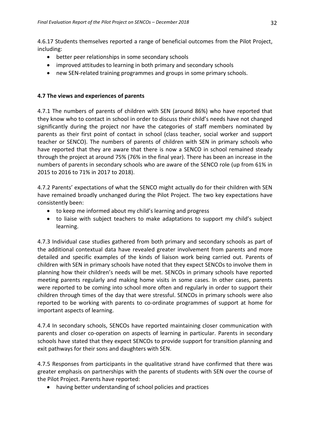4.6.17 Students themselves reported a range of beneficial outcomes from the Pilot Project, including:

- better peer relationships in some secondary schools
- improved attitudes to learning in both primary and secondary schools
- new SEN-related training programmes and groups in some primary schools.

# **4.7 The views and experiences of parents**

4.7.1 The numbers of parents of children with SEN (around 86%) who have reported that they know who to contact in school in order to discuss their child's needs have not changed significantly during the project nor have the categories of staff members nominated by parents as their first point of contact in school (class teacher, social worker and support teacher or SENCO). The numbers of parents of children with SEN in primary schools who have reported that they are aware that there is now a SENCO in school remained steady through the project at around 75% (76% in the final year). There has been an increase in the numbers of parents in secondary schools who are aware of the SENCO role (up from 61% in 2015 to 2016 to 71% in 2017 to 2018).

4.7.2 Parents' expectations of what the SENCO might actually do for their children with SEN have remained broadly unchanged during the Pilot Project. The two key expectations have consistently been:

- to keep me informed about my child's learning and progress
- to liaise with subject teachers to make adaptations to support my child's subject learning.

4.7.3 Individual case studies gathered from both primary and secondary schools as part of the additional contextual data have revealed greater involvement from parents and more detailed and specific examples of the kinds of liaison work being carried out. Parents of children with SEN in primary schools have noted that they expect SENCOs to involve them in planning how their children's needs will be met. SENCOs in primary schools have reported meeting parents regularly and making home visits in some cases. In other cases, parents were reported to be coming into school more often and regularly in order to support their children through times of the day that were stressful. SENCOs in primary schools were also reported to be working with parents to co-ordinate programmes of support at home for important aspects of learning.

4.7.4 In secondary schools, SENCOs have reported maintaining closer communication with parents and closer co-operation on aspects of learning in particular. Parents in secondary schools have stated that they expect SENCOs to provide support for transition planning and exit pathways for their sons and daughters with SEN.

4.7.5 Responses from participants in the qualitative strand have confirmed that there was greater emphasis on partnerships with the parents of students with SEN over the course of the Pilot Project. Parents have reported:

having better understanding of school policies and practices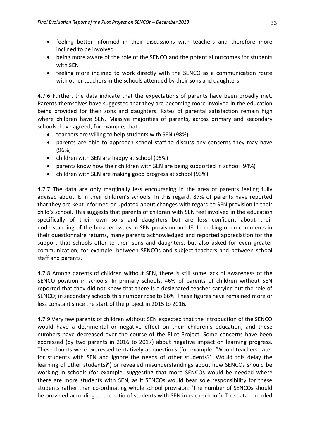- feeling better informed in their discussions with teachers and therefore more inclined to be involved
- being more aware of the role of the SENCO and the potential outcomes for students with SEN
- feeling more inclined to work directly with the SENCO as a communication route with other teachers in the schools attended by their sons and daughters.

4.7.6 Further, the data indicate that the expectations of parents have been broadly met. Parents themselves have suggested that they are becoming more involved in the education being provided for their sons and daughters. Rates of parental satisfaction remain high where children have SEN. Massive majorities of parents, across primary and secondary schools, have agreed, for example, that:

- teachers are willing to help students with SEN (98%)
- parents are able to approach school staff to discuss any concerns they may have (96%)
- children with SEN are happy at school (95%)
- parents know how their children with SEN are being supported in school (94%)
- children with SEN are making good progress at school (93%).

4.7.7 The data are only marginally less encouraging in the area of parents feeling fully advised about IE in their children's schools. In this regard, 87% of parents have reported that they are kept informed or updated about changes with regard to SEN provision in their child's school. This suggests that parents of children with SEN feel involved in the education specifically of their own sons and daughters but are less confident about their understanding of the broader issues in SEN provision and IE. In making open comments in their questionnaire returns, many parents acknowledged and reported appreciation for the support that schools offer to their sons and daughters, but also asked for even greater communication, for example, between SENCOs and subject teachers and between school staff and parents.

4.7.8 Among parents of children without SEN, there is still some lack of awareness of the SENCO position in schools. In primary schools, 46% of parents of children without SEN reported that they did not know that there is a designated teacher carrying out the role of SENCO; in secondary schools this number rose to 66%. These figures have remained more or less constant since the start of the project in 2015 to 2016.

4.7.9 Very few parents of children without SEN expected that the introduction of the SENCO would have a detrimental or negative effect on their children's education, and these numbers have decreased over the course of the Pilot Project. Some concerns have been expressed (by two parents in 2016 to 2017) about negative impact on learning progress. These doubts were expressed tentatively as questions (for example: 'Would teachers cater for students with SEN and ignore the needs of other students?' 'Would this delay the learning of other students?') or revealed misunderstandings about how SENCOs should be working in schools (for example, suggesting that more SENCOs would be needed where there are more students with SEN, as if SENCOs would bear sole responsibility for these students rather than co-ordinating whole school provision: 'The number of SENCOs should be provided according to the ratio of students with SEN in each school'). The data recorded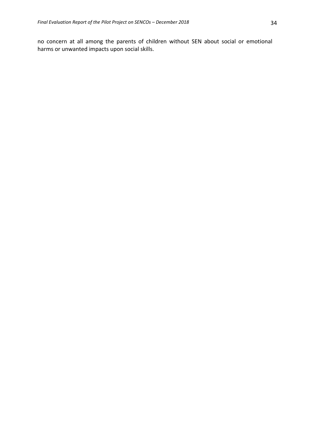no concern at all among the parents of children without SEN about social or emotional harms or unwanted impacts upon social skills.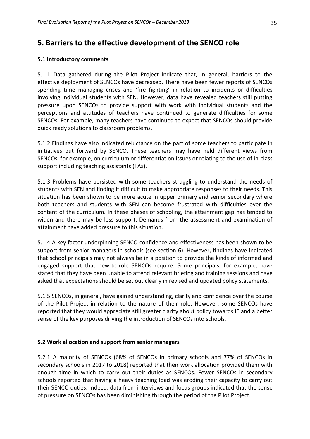# **5. Barriers to the effective development of the SENCO role**

### **5.1 Introductory comments**

5.1.1 Data gathered during the Pilot Project indicate that, in general, barriers to the effective deployment of SENCOs have decreased. There have been fewer reports of SENCOs spending time managing crises and 'fire fighting' in relation to incidents or difficulties involving individual students with SEN. However, data have revealed teachers still putting pressure upon SENCOs to provide support with work with individual students and the perceptions and attitudes of teachers have continued to generate difficulties for some SENCOs. For example, many teachers have continued to expect that SENCOs should provide quick ready solutions to classroom problems.

5.1.2 Findings have also indicated reluctance on the part of some teachers to participate in initiatives put forward by SENCO. These teachers may have held different views from SENCOs, for example, on curriculum or differentiation issues or relating to the use of in-class support including teaching assistants (TAs).

5.1.3 Problems have persisted with some teachers struggling to understand the needs of students with SEN and finding it difficult to make appropriate responses to their needs. This situation has been shown to be more acute in upper primary and senior secondary where both teachers and students with SEN can become frustrated with difficulties over the content of the curriculum. In these phases of schooling, the attainment gap has tended to widen and there may be less support. Demands from the assessment and examination of attainment have added pressure to this situation.

5.1.4 A key factor underpinning SENCO confidence and effectiveness has been shown to be support from senior managers in schools (see section 6). However, findings have indicated that school principals may not always be in a position to provide the kinds of informed and engaged support that new-to-role SENCOs require. Some principals, for example, have stated that they have been unable to attend relevant briefing and training sessions and have asked that expectations should be set out clearly in revised and updated policy statements.

5.1.5 SENCOs, in general, have gained understanding, clarity and confidence over the course of the Pilot Project in relation to the nature of their role. However, some SENCOs have reported that they would appreciate still greater clarity about policy towards IE and a better sense of the key purposes driving the introduction of SENCOs into schools.

### **5.2 Work allocation and support from senior managers**

5.2.1 A majority of SENCOs (68% of SENCOs in primary schools and 77% of SENCOs in secondary schools in 2017 to 2018) reported that their work allocation provided them with enough time in which to carry out their duties as SENCOs. Fewer SENCOs in secondary schools reported that having a heavy teaching load was eroding their capacity to carry out their SENCO duties. Indeed, data from interviews and focus groups indicated that the sense of pressure on SENCOs has been diminishing through the period of the Pilot Project.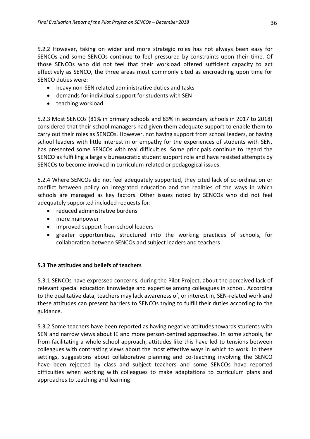5.2.2 However, taking on wider and more strategic roles has not always been easy for SENCOs and some SENCOs continue to feel pressured by constraints upon their time. Of those SENCOs who did not feel that their workload offered sufficient capacity to act effectively as SENCO, the three areas most commonly cited as encroaching upon time for SENCO duties were:

- heavy non-SEN related administrative duties and tasks
- demands for individual support for students with SEN
- teaching workload.

5.2.3 Most SENCOs (81% in primary schools and 83% in secondary schools in 2017 to 2018) considered that their school managers had given them adequate support to enable them to carry out their roles as SENCOs. However, not having support from school leaders, or having school leaders with little interest in or empathy for the experiences of students with SEN, has presented some SENCOs with real difficulties. Some principals continue to regard the SENCO as fulfilling a largely bureaucratic student support role and have resisted attempts by SENCOs to become involved in curriculum-related or pedagogical issues.

5.2.4 Where SENCOs did not feel adequately supported, they cited lack of co-ordination or conflict between policy on integrated education and the realities of the ways in which schools are managed as key factors. Other issues noted by SENCOs who did not feel adequately supported included requests for:

- reduced administrative burdens
- more manpower
- improved support from school leaders
- greater opportunities, structured into the working practices of schools, for collaboration between SENCOs and subject leaders and teachers.

### **5.3 The attitudes and beliefs of teachers**

5.3.1 SENCOs have expressed concerns, during the Pilot Project, about the perceived lack of relevant special education knowledge and expertise among colleagues in school. According to the qualitative data, teachers may lack awareness of, or interest in, SEN-related work and these attitudes can present barriers to SENCOs trying to fulfill their duties according to the guidance.

5.3.2 Some teachers have been reported as having negative attitudes towards students with SEN and narrow views about IE and more person-centred approaches. In some schools, far from facilitating a whole school approach, attitudes like this have led to tensions between colleagues with contrasting views about the most effective ways in which to work. In these settings, suggestions about collaborative planning and co-teaching involving the SENCO have been rejected by class and subject teachers and some SENCOs have reported difficulties when working with colleagues to make adaptations to curriculum plans and approaches to teaching and learning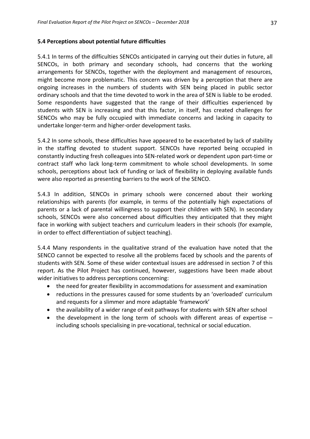#### **5.4 Perceptions about potential future difficulties**

5.4.1 In terms of the difficulties SENCOs anticipated in carrying out their duties in future, all SENCOs, in both primary and secondary schools, had concerns that the working arrangements for SENCOs, together with the deployment and management of resources, might become more problematic. This concern was driven by a perception that there are ongoing increases in the numbers of students with SEN being placed in public sector ordinary schools and that the time devoted to work in the area of SEN is liable to be eroded. Some respondents have suggested that the range of their difficulties experienced by students with SEN is increasing and that this factor, in itself, has created challenges for SENCOs who may be fully occupied with immediate concerns and lacking in capacity to undertake longer-term and higher-order development tasks.

5.4.2 In some schools, these difficulties have appeared to be exacerbated by lack of stability in the staffing devoted to student support. SENCOs have reported being occupied in constantly inducting fresh colleagues into SEN-related work or dependent upon part-time or contract staff who lack long-term commitment to whole school developments. In some schools, perceptions about lack of funding or lack of flexibility in deploying available funds were also reported as presenting barriers to the work of the SENCO.

5.4.3 In addition, SENCOs in primary schools were concerned about their working relationships with parents (for example, in terms of the potentially high expectations of parents or a lack of parental willingness to support their children with SEN). In secondary schools, SENCOs were also concerned about difficulties they anticipated that they might face in working with subject teachers and curriculum leaders in their schools (for example, in order to effect differentiation of subject teaching).

5.4.4 Many respondents in the qualitative strand of the evaluation have noted that the SENCO cannot be expected to resolve all the problems faced by schools and the parents of students with SEN. Some of these wider contextual issues are addressed in section 7 of this report. As the Pilot Project has continued, however, suggestions have been made about wider initiatives to address perceptions concerning:

- the need for greater flexibility in accommodations for assessment and examination
- reductions in the pressures caused for some students by an 'overloaded' curriculum and requests for a slimmer and more adaptable 'framework'
- the availability of a wider range of exit pathways for students with SEN after school
- the development in the long term of schools with different areas of expertise including schools specialising in pre-vocational, technical or social education.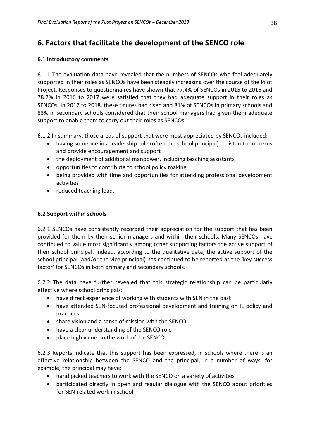# **6. Factors that facilitate the development of the SENCO role**

### **6.1 Introductory comments**

6.1.1 The evaluation data have revealed that the numbers of SENCOs who feel adequately supported in their roles as SENCOs have been steadily increasing over the course of the Pilot Project. Responses to questionnaires have shown that 77.4% of SENCOs in 2015 to 2016 and 78.2% in 2016 to 2017 were satisfied that they had adequate support in their roles as SENCOs. In 2017 to 2018, these figures had risen and 81% of SENCOs in primary schools and 83% in secondary schools considered that their school managers had given them adequate support to enable them to carry out their roles as SENCOs.

6.1.2 In summary, those areas of support that were most appreciated by SENCOs included:

- having someone in a leadership role (often the school principal) to listen to concerns and provide encouragement and support
- the deployment of additional manpower, including teaching assistants
- opportunities to contribute to school policy making
- being provided with time and opportunities for attending professional development activities
- reduced teaching load.

### **6.2 Support within schools**

6.2.1 SENCOs have consistently recorded their appreciation for the support that has been provided for them by their senior managers and within their schools. Many SENCOs have continued to value most significantly among other supporting factors the active support of their school principal. Indeed, according to the qualitative data, the active support of the school principal (and/or the vice principal) has continued to be reported as the 'key success factor' for SENCOs in both primary and secondary schools.

6.2.2 The data have further revealed that this strategic relationship can be particularly effective where school principals:

- have direct experience of working with students with SEN in the past
- have attended SEN-focused professional development and training on IE policy and practices
- share vision and a sense of mission with the SENCO
- have a clear understanding of the SENCO role
- place high value on the work of the SENCO.

6.2.3 Reports indicate that this support has been expressed, in schools where there is an effective relationship between the SENCO and the principal, in a number of ways, for example, the principal may have:

- hand picked teachers to work with the SENCO on a variety of activities
- participated directly in open and regular dialogue with the SENCO about priorities for SEN-related work in school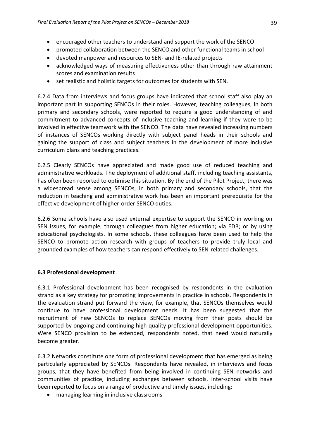- encouraged other teachers to understand and support the work of the SENCO
- promoted collaboration between the SENCO and other functional teams in school
- devoted manpower and resources to SEN- and IE-related projects
- acknowledged ways of measuring effectiveness other than through raw attainment scores and examination results
- set realistic and holistic targets for outcomes for students with SEN.

6.2.4 Data from interviews and focus groups have indicated that school staff also play an important part in supporting SENCOs in their roles. However, teaching colleagues, in both primary and secondary schools, were reported to require a good understanding of and commitment to advanced concepts of inclusive teaching and learning if they were to be involved in effective teamwork with the SENCO. The data have revealed increasing numbers of instances of SENCOs working directly with subject panel heads in their schools and gaining the support of class and subject teachers in the development of more inclusive curriculum plans and teaching practices.

6.2.5 Clearly SENCOs have appreciated and made good use of reduced teaching and administrative workloads. The deployment of additional staff, including teaching assistants, has often been reported to optimise this situation. By the end of the Pilot Project, there was a widespread sense among SENCOs, in both primary and secondary schools, that the reduction in teaching and administrative work has been an important prerequisite for the effective development of higher-order SENCO duties.

6.2.6 Some schools have also used external expertise to support the SENCO in working on SEN issues, for example, through colleagues from higher education; via EDB; or by using educational psychologists. In some schools, these colleagues have been used to help the SENCO to promote action research with groups of teachers to provide truly local and grounded examples of how teachers can respond effectively to SEN-related challenges.

### **6.3 Professional development**

6.3.1 Professional development has been recognised by respondents in the evaluation strand as a key strategy for promoting improvements in practice in schools. Respondents in the evaluation strand put forward the view, for example, that SENCOs themselves would continue to have professional development needs. It has been suggested that the recruitment of new SENCOs to replace SENCOs moving from their posts should be supported by ongoing and continuing high quality professional development opportunities. Were SENCO provision to be extended, respondents noted, that need would naturally become greater.

6.3.2 Networks constitute one form of professional development that has emerged as being particularly appreciated by SENCOs. Respondents have revealed, in interviews and focus groups, that they have benefited from being involved in continuing SEN networks and communities of practice, including exchanges between schools. Inter-school visits have been reported to focus on a range of productive and timely issues, including:

managing learning in inclusive classrooms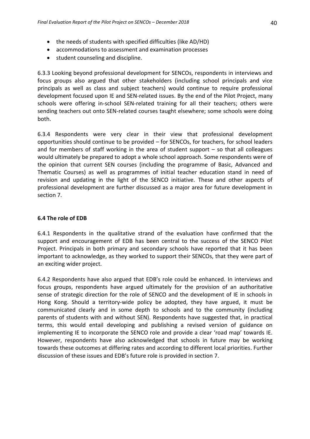- the needs of students with specified difficulties (like AD/HD)
- accommodations to assessment and examination processes
- student counseling and discipline.

6.3.3 Looking beyond professional development for SENCOs, respondents in interviews and focus groups also argued that other stakeholders (including school principals and vice principals as well as class and subject teachers) would continue to require professional development focused upon IE and SEN-related issues. By the end of the Pilot Project, many schools were offering in-school SEN-related training for all their teachers; others were sending teachers out onto SEN-related courses taught elsewhere; some schools were doing both.

6.3.4 Respondents were very clear in their view that professional development opportunities should continue to be provided – for SENCOs, for teachers, for school leaders and for members of staff working in the area of student support – so that all colleagues would ultimately be prepared to adopt a whole school approach. Some respondents were of the opinion that current SEN courses (including the programme of Basic, Advanced and Thematic Courses) as well as programmes of initial teacher education stand in need of revision and updating in the light of the SENCO initiative. These and other aspects of professional development are further discussed as a major area for future development in section 7.

### **6.4 The role of EDB**

6.4.1 Respondents in the qualitative strand of the evaluation have confirmed that the support and encouragement of EDB has been central to the success of the SENCO Pilot Project. Principals in both primary and secondary schools have reported that it has been important to acknowledge, as they worked to support their SENCOs, that they were part of an exciting wider project.

6.4.2 Respondents have also argued that EDB's role could be enhanced. In interviews and focus groups, respondents have argued ultimately for the provision of an authoritative sense of strategic direction for the role of SENCO and the development of IE in schools in Hong Kong. Should a territory-wide policy be adopted, they have argued, it must be communicated clearly and in some depth to schools and to the community (including parents of students with and without SEN). Respondents have suggested that, in practical terms, this would entail developing and publishing a revised version of guidance on implementing IE to incorporate the SENCO role and provide a clear 'road map' towards IE. However, respondents have also acknowledged that schools in future may be working towards these outcomes at differing rates and according to different local priorities. Further discussion of these issues and EDB's future role is provided in section 7.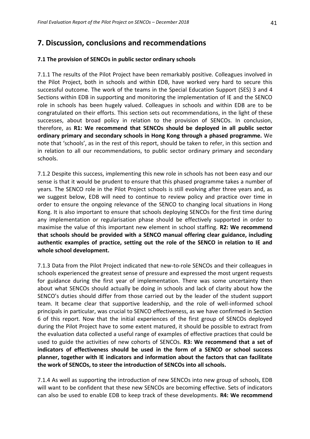# **7. Discussion, conclusions and recommendations**

### **7.1 The provision of SENCOs in public sector ordinary schools**

7.1.1 The results of the Pilot Project have been remarkably positive. Colleagues involved in the Pilot Project, both in schools and within EDB, have worked very hard to secure this successful outcome. The work of the teams in the Special Education Support (SES) 3 and 4 Sections within EDB in supporting and monitoring the implementation of IE and the SENCO role in schools has been hugely valued. Colleagues in schools and within EDB are to be congratulated on their efforts. This section sets out recommendations, in the light of these successes, about broad policy in relation to the provision of SENCOs. In conclusion, therefore, as **R1: We recommend that SENCOs should be deployed in all public sector ordinary primary and secondary schools in Hong Kong through a phased programme.** We note that 'schools', as in the rest of this report, should be taken to refer, in this section and in relation to all our recommendations, to public sector ordinary primary and secondary schools.

7.1.2 Despite this success, implementing this new role in schools has not been easy and our sense is that it would be prudent to ensure that this phased programme takes a number of years. The SENCO role in the Pilot Project schools is still evolving after three years and, as we suggest below, EDB will need to continue to review policy and practice over time in order to ensure the ongoing relevance of the SENCO to changing local situations in Hong Kong. It is also important to ensure that schools deploying SENCOs for the first time during any implementation or regularisation phase should be effectively supported in order to maximise the value of this important new element in school staffing. **R2: We recommend that schools should be provided with a SENCO manual offering clear guidance, including authentic examples of practice, setting out the role of the SENCO in relation to IE and whole school development.**

7.1.3 Data from the Pilot Project indicated that new-to-role SENCOs and their colleagues in schools experienced the greatest sense of pressure and expressed the most urgent requests for guidance during the first year of implementation. There was some uncertainty then about what SENCOs should actually be doing in schools and lack of clarity about how the SENCO's duties should differ from those carried out by the leader of the student support team. It became clear that supportive leadership, and the role of well-informed school principals in particular, was crucial to SENCO effectiveness, as we have confirmed in Section 6 of this report. Now that the initial experiences of the first group of SENCOs deployed during the Pilot Project have to some extent matured, it should be possible to extract from the evaluation data collected a useful range of examples of effective practices that could be used to guide the activities of new cohorts of SENCOs. **R3: We recommend that a set of indicators of effectiveness should be used in the form of a SENCO or school success planner, together with IE indicators and information about the factors that can facilitate the work of SENCOs, to steer the introduction of SENCOs into all schools.**

7.1.4 As well as supporting the introduction of new SENCOs into new group of schools, EDB will want to be confident that these new SENCOs are becoming effective. Sets of indicators can also be used to enable EDB to keep track of these developments. **R4: We recommend**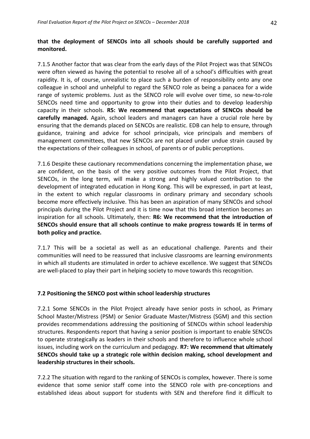# **that the deployment of SENCOs into all schools should be carefully supported and monitored.**

7.1.5 Another factor that was clear from the early days of the Pilot Project was that SENCOs were often viewed as having the potential to resolve all of a school's difficulties with great rapidity. It is, of course, unrealistic to place such a burden of responsibility onto any one colleague in school and unhelpful to regard the SENCO role as being a panacea for a wide range of systemic problems. Just as the SENCO role will evolve over time, so new-to-role SENCOs need time and opportunity to grow into their duties and to develop leadership capacity in their schools. **R5: We recommend that expectations of SENCOs should be carefully managed.** Again, school leaders and managers can have a crucial role here by ensuring that the demands placed on SENCOs are realistic. EDB can help to ensure, through guidance, training and advice for school principals, vice principals and members of management committees, that new SENCOs are not placed under undue strain caused by the expectations of their colleagues in school, of parents or of public perceptions.

7.1.6 Despite these cautionary recommendations concerning the implementation phase, we are confident, on the basis of the very positive outcomes from the Pilot Project, that SENCOs, in the long term, will make a strong and highly valued contribution to the development of integrated education in Hong Kong. This will be expressed, in part at least, in the extent to which regular classrooms in ordinary primary and secondary schools become more effectively inclusive. This has been an aspiration of many SENCOs and school principals during the Pilot Project and it is time now that this broad intention becomes an inspiration for all schools. Ultimately, then: **R6: We recommend that the introduction of SENCOs should ensure that all schools continue to make progress towards IE in terms of both policy and practice.**

7.1.7 This will be a societal as well as an educational challenge. Parents and their communities will need to be reassured that inclusive classrooms are learning environments in which all students are stimulated in order to achieve excellence. We suggest that SENCOs are well-placed to play their part in helping society to move towards this recognition.

### **7.2 Positioning the SENCO post within school leadership structures**

7.2.1 Some SENCOs in the Pilot Project already have senior posts in school, as Primary School Master/Mistress (PSM) or Senior Graduate Master/Mistress (SGM) and this section provides recommendations addressing the positioning of SENCOs within school leadership structures. Respondents report that having a senior position is important to enable SENCOs to operate strategically as leaders in their schools and therefore to influence whole school issues, including work on the curriculum and pedagogy. **R7: We recommend that ultimately SENCOs should take up a strategic role within decision making, school development and leadership structures in their schools.**

7.2.2 The situation with regard to the ranking of SENCOs is complex, however. There is some evidence that some senior staff come into the SENCO role with pre-conceptions and established ideas about support for students with SEN and therefore find it difficult to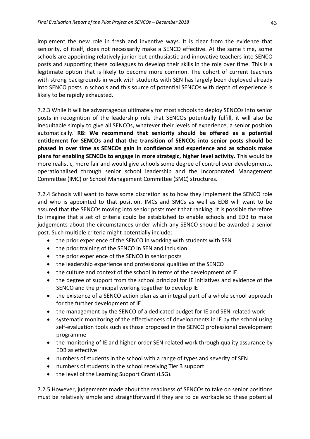implement the new role in fresh and inventive ways. It is clear from the evidence that seniority, of itself, does not necessarily make a SENCO effective. At the same time, some schools are appointing relatively junior but enthusiastic and innovative teachers into SENCO posts and supporting these colleagues to develop their skills in the role over time. This is a legitimate option that is likely to become more common. The cohort of current teachers with strong backgrounds in work with students with SEN has largely been deployed already into SENCO posts in schools and this source of potential SENCOs with depth of experience is likely to be rapidly exhausted.

7.2.3 While it will be advantageous ultimately for most schools to deploy SENCOs into senior posts in recognition of the leadership role that SENCOs potentially fulfill, it will also be inequitable simply to give all SENCOs, whatever their levels of experience, a senior position automatically. **R8: We recommend that seniority should be offered as a potential entitlement for SENCOs and that the transition of SENCOs into senior posts should be phased in over time as SENCOs gain in confidence and experience and as schools make plans for enabling SENCOs to engage in more strategic, higher level activity.** This would be more realistic, more fair and would give schools some degree of control over developments, operationalised through senior school leadership and the Incorporated Management Committee (IMC) or School Management Committee (SMC) structures.

7.2.4 Schools will want to have some discretion as to how they implement the SENCO role and who is appointed to that position. IMCs and SMCs as well as EDB will want to be assured that the SENCOs moving into senior posts merit that ranking. It is possible therefore to imagine that a set of criteria could be established to enable schools and EDB to make judgements about the circumstances under which any SENCO should be awarded a senior post. Such multiple criteria might potentially include:

- the prior experience of the SENCO in working with students with SEN
- the prior training of the SENCO in SEN and inclusion
- the prior experience of the SENCO in senior posts
- the leadership experience and professional qualities of the SENCO
- the culture and context of the school in terms of the development of IE
- the degree of support from the school principal for IE initiatives and evidence of the SENCO and the principal working together to develop IE
- the existence of a SENCO action plan as an integral part of a whole school approach for the further development of IE
- the management by the SENCO of a dedicated budget for IE and SEN-related work
- systematic monitoring of the effectiveness of developments in IE by the school using self-evaluation tools such as those proposed in the SENCO professional development programme
- the monitoring of IE and higher-order SEN-related work through quality assurance by EDB as effective
- numbers of students in the school with a range of types and severity of SEN
- numbers of students in the school receiving Tier 3 support
- the level of the Learning Support Grant (LSG).

7.2.5 However, judgements made about the readiness of SENCOs to take on senior positions must be relatively simple and straightforward if they are to be workable so these potential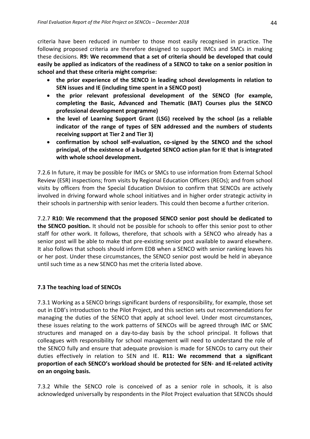criteria have been reduced in number to those most easily recognised in practice. The following proposed criteria are therefore designed to support IMCs and SMCs in making these decisions. **R9: We recommend that a set of criteria should be developed that could easily be applied as indicators of the readiness of a SENCO to take on a senior position in school and that these criteria might comprise:**

- **the prior experience of the SENCO in leading school developments in relation to SEN issues and IE (including time spent in a SENCO post)**
- **the prior relevant professional development of the SENCO (for example, completing the Basic, Advanced and Thematic (BAT) Courses plus the SENCO professional development programme)**
- **the level of Learning Support Grant (LSG) received by the school (as a reliable indicator of the range of types of SEN addressed and the numbers of students receiving support at Tier 2 and Tier 3)**
- **confirmation by school self-evaluation, co-signed by the SENCO and the school principal, of the existence of a budgeted SENCO action plan for IE that is integrated with whole school development.**

7.2.6 In future, it may be possible for IMCs or SMCs to use information from External School Review (ESR) inspections; from visits by Regional Education Officers (REOs); and from school visits by officers from the Special Education Division to confirm that SENCOs are actively involved in driving forward whole school initiatives and in higher order strategic activity in their schools in partnership with senior leaders. This could then become a further criterion.

7.2.7 **R10: We recommend that the proposed SENCO senior post should be dedicated to the SENCO position.** It should not be possible for schools to offer this senior post to other staff for other work. It follows, therefore, that schools with a SENCO who already has a senior post will be able to make that pre-existing senior post available to award elsewhere. It also follows that schools should inform EDB when a SENCO with senior ranking leaves his or her post. Under these circumstances, the SENCO senior post would be held in abeyance until such time as a new SENCO has met the criteria listed above.

### **7.3 The teaching load of SENCOs**

7.3.1 Working as a SENCO brings significant burdens of responsibility, for example, those set out in EDB's introduction to the Pilot Project, and this section sets out recommendations for managing the duties of the SENCO that apply at school level. Under most circumstances, these issues relating to the work patterns of SENCOs will be agreed through IMC or SMC structures and managed on a day-to-day basis by the school principal. It follows that colleagues with responsibility for school management will need to understand the role of the SENCO fully and ensure that adequate provision is made for SENCOs to carry out their duties effectively in relation to SEN and IE. **R11: We recommend that a significant proportion of each SENCO's workload should be protected for SEN- and IE-related activity on an ongoing basis.**

7.3.2 While the SENCO role is conceived of as a senior role in schools, it is also acknowledged universally by respondents in the Pilot Project evaluation that SENCOs should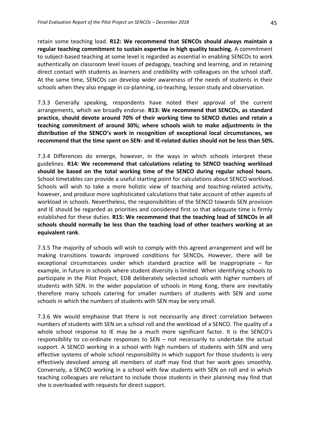retain some teaching load. **R12: We recommend that SENCOs should always maintain a regular teaching commitment to sustain expertise in high quality teaching.** A commitment to subject-based teaching at some level is regarded as essential in enabling SENCOs to work authentically on classroom level issues of pedagogy, teaching and learning, and in retaining direct contact with students as learners and credibility with colleagues on the school staff. At the same time, SENCOs can develop wider awareness of the needs of students in their schools when they also engage in co-planning, co-teaching, lesson study and observation.

7.3.3 Generally speaking, respondents have noted their approval of the current arrangements, which we broadly endorse. **R13: We recommend that SENCOs, as standard practice, should devote around 70% of their working time to SENCO duties and retain a teaching commitment of around 30%; where schools wish to make adjustments in the distribution of the SENCO's work in recognition of exceptional local circumstances, we recommend that the time spent on SEN- and IE-related duties should not be less than 50%.**

7.3.4 Differences do emerge, however, in the ways in which schools interpret these guidelines. **R14: We recommend that calculations relating to SENCO teaching workload should be based on the total working time of the SENCO during regular school hours.** School timetables can provide a useful starting point for calculations about SENCO workload. Schools will wish to take a more holistic view of teaching and teaching-related activity, however, and produce more sophisticated calculations that take account of other aspects of workload in schools. Nevertheless, the responsibilities of the SENCO towards SEN provision and IE should be regarded as priorities and considered first so that adequate time is firmly established for these duties. **R15: We recommend that the teaching load of SENCOs in all schools should normally be less than the teaching load of other teachers working at an equivalent rank**.

7.3.5 The majority of schools will wish to comply with this agreed arrangement and will be making transitions towards improved conditions for SENCOs. However, there will be exceptional circumstances under which standard practice will be inappropriate – for example, in future in schools where student diversity is limited. When identifying schools to participate in the Pilot Project, EDB deliberately selected schools with higher numbers of students with SEN. In the wider population of schools in Hong Kong, there are inevitably therefore many schools catering for smaller numbers of students with SEN and some schools in which the numbers of students with SEN may be very small.

7.3.6 We would emphasise that there is not necessarily any direct correlation between numbers of students with SEN on a school roll and the workload of a SENCO. The quality of a whole school response to IE may be a much more significant factor. It is the SENCO's responsibility to co-ordinate responses to SEN – not necessarily to undertake the actual support. A SENCO working in a school with high numbers of students with SEN and very effective systems of whole school responsibility in which support for those students is very effectively devolved among all members of staff may find that her work goes smoothly. Conversely, a SENCO working in a school with few students with SEN on roll and in which teaching colleagues are reluctant to include those students in their planning may find that she is overloaded with requests for direct support.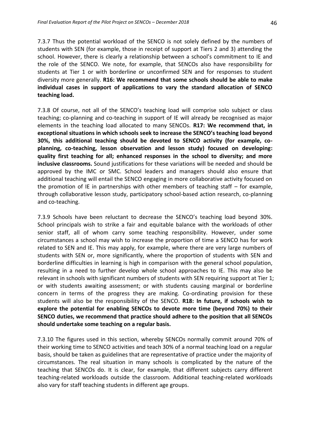7.3.7 Thus the potential workload of the SENCO is not solely defined by the numbers of students with SEN (for example, those in receipt of support at Tiers 2 and 3) attending the school. However, there is clearly a relationship between a school's commitment to IE and the role of the SENCO. We note, for example, that SENCOs also have responsibility for students at Tier 1 or with borderline or unconfirmed SEN and for responses to student diversity more generally. **R16: We recommend that some schools should be able to make individual cases in support of applications to vary the standard allocation of SENCO teaching load.**

7.3.8 Of course, not all of the SENCO's teaching load will comprise solo subject or class teaching; co-planning and co-teaching in support of IE will already be recognised as major elements in the teaching load allocated to many SENCOs. **R17: We recommend that, in exceptional situations in which schools seek to increase the SENCO's teaching load beyond 30%, this additional teaching should be devoted to SENCO activity (for example, coplanning, co-teaching, lesson observation and lesson study) focused on developing: quality first teaching for all; enhanced responses in the school to diversity; and more inclusive classrooms.** Sound justifications for these variations will be needed and should be approved by the IMC or SMC. School leaders and managers should also ensure that additional teaching will entail the SENCO engaging in more collaborative activity focused on the promotion of IE in partnerships with other members of teaching staff – for example, through collaborative lesson study, participatory school-based action research, co-planning and co-teaching.

7.3.9 Schools have been reluctant to decrease the SENCO's teaching load beyond 30%. School principals wish to strike a fair and equitable balance with the workloads of other senior staff, all of whom carry some teaching responsibility. However, under some circumstances a school may wish to increase the proportion of time a SENCO has for work related to SEN and IE. This may apply, for example, where there are very large numbers of students with SEN or, more significantly, where the proportion of students with SEN and borderline difficulties in learning is high in comparison with the general school population, resulting in a need to further develop whole school approaches to IE. This may also be relevant in schools with significant numbers of students with SEN requiring support at Tier 1; or with students awaiting assessment; or with students causing marginal or borderline concern in terms of the progress they are making. Co-ordinating provision for these students will also be the responsibility of the SENCO. **R18: In future, if schools wish to explore the potential for enabling SENCOs to devote more time (beyond 70%) to their SENCO duties, we recommend that practice should adhere to the position that all SENCOs should undertake some teaching on a regular basis.**

7.3.10 The figures used in this section, whereby SENCOs normally commit around 70% of their working time to SENCO activities and teach 30% of a normal teaching load on a regular basis, should be taken as guidelines that are representative of practice under the majority of circumstances. The real situation in many schools is complicated by the nature of the teaching that SENCOs do. It is clear, for example, that different subjects carry different teaching-related workloads outside the classroom. Additional teaching-related workloads also vary for staff teaching students in different age groups.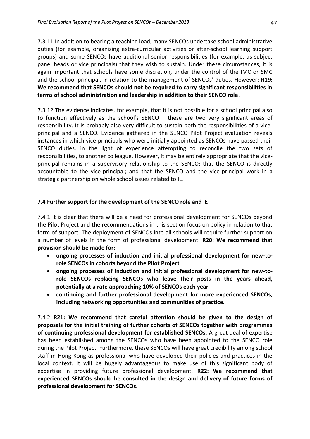7.3.11 In addition to bearing a teaching load, many SENCOs undertake school administrative duties (for example, organising extra-curricular activities or after-school learning support groups) and some SENCOs have additional senior responsibilities (for example, as subject panel heads or vice principals) that they wish to sustain. Under these circumstances, it is again important that schools have some discretion, under the control of the IMC or SMC and the school principal, in relation to the management of SENCOs' duties. However: **R19: We recommend that SENCOs should not be required to carry significant responsibilities in terms of school administration and leadership in addition to their SENCO role**.

7.3.12 The evidence indicates, for example, that it is not possible for a school principal also to function effectively as the school's SENCO – these are two very significant areas of responsibility. It is probably also very difficult to sustain both the responsibilities of a viceprincipal and a SENCO. Evidence gathered in the SENCO Pilot Project evaluation reveals instances in which vice-principals who were initially appointed as SENCOs have passed their SENCO duties, in the light of experience attempting to reconcile the two sets of responsibilities, to another colleague. However, it may be entirely appropriate that the viceprincipal remains in a supervisory relationship to the SENCO; that the SENCO is directly accountable to the vice-principal; and that the SENCO and the vice-principal work in a strategic partnership on whole school issues related to IE.

### **7.4 Further support for the development of the SENCO role and IE**

7.4.1 It is clear that there will be a need for professional development for SENCOs beyond the Pilot Project and the recommendations in this section focus on policy in relation to that form of support. The deployment of SENCOs into all schools will require further support on a number of levels in the form of professional development. **R20: We recommend that provision should be made for:**

- **ongoing processes of induction and initial professional development for new-torole SENCOs in cohorts beyond the Pilot Project**
- **ongoing processes of induction and initial professional development for new-torole SENCOs replacing SENCOs who leave their posts in the years ahead, potentially at a rate approaching 10% of SENCOs each year**
- **continuing and further professional development for more experienced SENCOs, including networking opportunities and communities of practice.**

7.4.2 **R21: We recommend that careful attention should be given to the design of proposals for the initial training of further cohorts of SENCOs together with programmes of continuing professional development for established SENCOs.** A great deal of expertise has been established among the SENCOs who have been appointed to the SENCO role during the Pilot Project. Furthermore, these SENCOs will have great credibility among school staff in Hong Kong as professional who have developed their policies and practices in the local context. It will be hugely advantageous to make use of this significant body of expertise in providing future professional development. **R22: We recommend that experienced SENCOs should be consulted in the design and delivery of future forms of professional development for SENCOs.**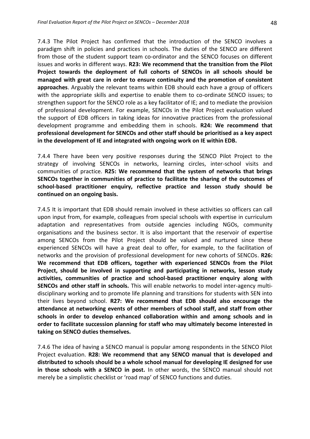7.4.3 The Pilot Project has confirmed that the introduction of the SENCO involves a paradigm shift in policies and practices in schools. The duties of the SENCO are different from those of the student support team co-ordinator and the SENCO focuses on different issues and works in different ways. **R23: We recommend that the transition from the Pilot Project towards the deployment of full cohorts of SENCOs in all schools should be managed with great care in order to ensure continuity and the promotion of consistent approaches**. Arguably the relevant teams within EDB should each have a group of officers with the appropriate skills and expertise to enable them to co-ordinate SENCO issues; to strengthen support for the SENCO role as a key facilitator of IE; and to mediate the provision of professional development. For example, SENCOs in the Pilot Project evaluation valued the support of EDB officers in taking ideas for innovative practices from the professional development programme and embedding them in schools. **R24: We recommend that professional development for SENCOs and other staff should be prioritised as a key aspect in the development of IE and integrated with ongoing work on IE within EDB.**

7.4.4 There have been very positive responses during the SENCO Pilot Project to the strategy of involving SENCOs in networks, learning circles, inter-school visits and communities of practice. **R25: We recommend that the system of networks that brings SENCOs together in communities of practice to facilitate the sharing of the outcomes of school-based practitioner enquiry, reflective practice and lesson study should be continued on an ongoing basis.**

7.4.5 It is important that EDB should remain involved in these activities so officers can call upon input from, for example, colleagues from special schools with expertise in curriculum adaptation and representatives from outside agencies including NGOs, community organisations and the business sector. It is also important that the reservoir of expertise among SENCOs from the Pilot Project should be valued and nurtured since these experienced SENCOs will have a great deal to offer, for example, to the facilitation of networks and the provision of professional development for new cohorts of SENCOs. **R26: We recommend that EDB officers, together with experienced SENCOs from the Pilot Project, should be involved in supporting and participating in networks, lesson study activities, communities of practice and school-based practitioner enquiry along with SENCOs and other staff in schools.** This will enable networks to model inter-agency multidisciplinary working and to promote life planning and transitions for students with SEN into their lives beyond school. **R27: We recommend that EDB should also encourage the attendance at networking events of other members of school staff, and staff from other schools in order to develop enhanced collaboration within and among schools and in order to facilitate succession planning for staff who may ultimately become interested in taking on SENCO duties themselves.**

7.4.6 The idea of having a SENCO manual is popular among respondents in the SENCO Pilot Project evaluation. **R28: We recommend that any SENCO manual that is developed and distributed to schools should be a whole school manual for developing IE designed for use in those schools with a SENCO in post.** In other words, the SENCO manual should not merely be a simplistic checklist or 'road map' of SENCO functions and duties.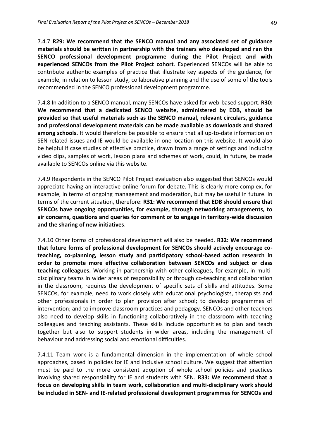7.4.7 **R29: We recommend that the SENCO manual and any associated set of guidance materials should be written in partnership with the trainers who developed and ran the SENCO professional development programme during the Pilot Project and with experienced SENCOs from the Pilot Project cohort**. Experienced SENCOs will be able to contribute authentic examples of practice that illustrate key aspects of the guidance, for example, in relation to lesson study, collaborative planning and the use of some of the tools recommended in the SENCO professional development programme.

7.4.8 In addition to a SENCO manual, many SENCOs have asked for web-based support. **R30: We recommend that a dedicated SENCO website, administered by EDB, should be provided so that useful materials such as the SENCO manual, relevant circulars, guidance and professional development materials can be made available as downloads and shared among schools.** It would therefore be possible to ensure that all up-to-date information on SEN-related issues and IE would be available in one location on this website. It would also be helpful if case studies of effective practice, drawn from a range of settings and including video clips, samples of work, lesson plans and schemes of work, could, in future, be made available to SENCOs online via this website.

7.4.9 Respondents in the SENCO Pilot Project evaluation also suggested that SENCOs would appreciate having an interactive online forum for debate. This is clearly more complex, for example, in terms of ongoing management and moderation, but may be useful in future. In terms of the current situation, therefore: **R31: We recommend that EDB should ensure that SENCOs have ongoing opportunities, for example, through networking arrangements, to air concerns, questions and queries for comment or to engage in territory-wide discussion and the sharing of new initiatives**.

7.4.10 Other forms of professional development will also be needed. **R32: We recommend that future forms of professional development for SENCOs should actively encourage coteaching, co-planning, lesson study and participatory school-based action research in order to promote more effective collaboration between SENCOs and subject or class teaching colleagues.** Working in partnership with other colleagues, for example, in multidisciplinary teams in wider areas of responsibility or through co-teaching and collaboration in the classroom, requires the development of specific sets of skills and attitudes. Some SENCOs, for example, need to work closely with educational psychologists, therapists and other professionals in order to plan provision after school; to develop programmes of intervention; and to improve classroom practices and pedagogy. SENCOs and other teachers also need to develop skills in functioning collaboratively in the classroom with teaching colleagues and teaching assistants. These skills include opportunities to plan and teach together but also to support students in wider areas, including the management of behaviour and addressing social and emotional difficulties.

7.4.11 Team work is a fundamental dimension in the implementation of whole school approaches, based in policies for IE and inclusive school culture. We suggest that attention must be paid to the more consistent adoption of whole school policies and practices involving shared responsibility for IE and students with SEN. **R33: We recommend that a focus on developing skills in team work, collaboration and multi-disciplinary work should be included in SEN- and IE-related professional development programmes for SENCOs and**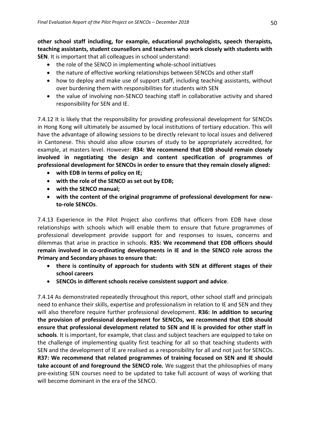**other school staff including, for example, educational psychologists, speech therapists, teaching assistants, student counsellors and teachers who work closely with students with SEN**. It is important that all colleagues in school understand:

- the role of the SENCO in implementing whole-school initiatives
- the nature of effective working relationships between SENCOs and other staff
- how to deploy and make use of support staff, including teaching assistants, without over burdening them with responsibilities for students with SEN
- the value of involving non-SENCO teaching staff in collaborative activity and shared responsibility for SEN and IE.

7.4.12 It is likely that the responsibility for providing professional development for SENCOs in Hong Kong will ultimately be assumed by local institutions of tertiary education. This will have the advantage of allowing sessions to be directly relevant to local issues and delivered in Cantonese. This should also allow courses of study to be appropriately accredited, for example, at masters level. However: **R34: We recommend that EDB should remain closely involved in negotiating the design and content specification of programmes of professional development for SENCOs in order to ensure that they remain closely aligned:**

- **with EDB in terms of policy on IE;**
- **with the role of the SENCO as set out by EDB;**
- **with the SENCO manual;**
- **with the content of the original programme of professional development for newto-role SENCOs**.

7.4.13 Experience in the Pilot Project also confirms that officers from EDB have close relationships with schools which will enable them to ensure that future programmes of professional development provide support for and responses to issues, concerns and dilemmas that arise in practice in schools. **R35: We recommend that EDB officers should remain involved in co-ordinating developments in IE and in the SENCO role across the Primary and Secondary phases to ensure that:**

- **there is continuity of approach for students with SEN at different stages of their school careers**
- **SENCOs in different schools receive consistent support and advice**.

7.4.14 As demonstrated repeatedly throughout this report, other school staff and principals need to enhance their skills, expertise and professionalism in relation to IE and SEN and they will also therefore require further professional development. **R36: In addition to securing the provision of professional development for SENCOs, we recommend that EDB should ensure that professional development related to SEN and IE is provided for other staff in schools**. It is important, for example, that class and subject teachers are equipped to take on the challenge of implementing quality first teaching for all so that teaching students with SEN and the development of IE are realised as a responsibility for all and not just for SENCOs. **R37: We recommend that related programmes of training focused on SEN and IE should take account of and foreground the SENCO role.** We suggest that the philosophies of many pre-existing SEN courses need to be updated to take full account of ways of working that will become dominant in the era of the SENCO.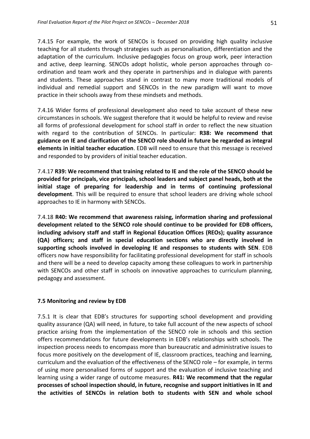7.4.15 For example, the work of SENCOs is focused on providing high quality inclusive teaching for all students through strategies such as personalisation, differentiation and the adaptation of the curriculum. Inclusive pedagogies focus on group work, peer interaction and active, deep learning. SENCOs adopt holistic, whole person approaches through coordination and team work and they operate in partnerships and in dialogue with parents and students. These approaches stand in contrast to many more traditional models of individual and remedial support and SENCOs in the new paradigm will want to move practice in their schools away from these mindsets and methods.

7.4.16 Wider forms of professional development also need to take account of these new circumstances in schools. We suggest therefore that it would be helpful to review and revise all forms of professional development for school staff in order to reflect the new situation with regard to the contribution of SENCOs. In particular: **R38: We recommend that guidance on IE and clarification of the SENCO role should in future be regarded as integral elements in initial teacher education**. EDB will need to ensure that this message is received and responded to by providers of initial teacher education.

7.4.17 **R39: We recommend that training related to IE and the role of the SENCO should be provided for principals, vice principals, school leaders and subject panel heads, both at the initial stage of preparing for leadership and in terms of continuing professional development**. This will be required to ensure that school leaders are driving whole school approaches to IE in harmony with SENCOs.

7.4.18 **R40: We recommend that awareness raising, information sharing and professional development related to the SENCO role should continue to be provided for EDB officers, including advisory staff and staff in Regional Education Offices (REOs); quality assurance (QA) officers; and staff in special education sections who are directly involved in supporting schools involved in developing IE and responses to students with SEN**. EDB officers now have responsibility for facilitating professional development for staff in schools and there will be a need to develop capacity among these colleagues to work in partnership with SENCOs and other staff in schools on innovative approaches to curriculum planning, pedagogy and assessment.

### **7.5 Monitoring and review by EDB**

7.5.1 It is clear that EDB's structures for supporting school development and providing quality assurance (QA) will need, in future, to take full account of the new aspects of school practice arising from the implementation of the SENCO role in schools and this section offers recommendations for future developments in EDB's relationships with schools. The inspection process needs to encompass more than bureaucratic and administrative issues to focus more positively on the development of IE, classroom practices, teaching and learning, curriculum and the evaluation of the effectiveness of the SENCO role – for example, in terms of using more personalised forms of support and the evaluation of inclusive teaching and learning using a wider range of outcome measures. **R41: We recommend that the regular processes of school inspection should, in future, recognise and support initiatives in IE and the activities of SENCOs in relation both to students with SEN and whole school**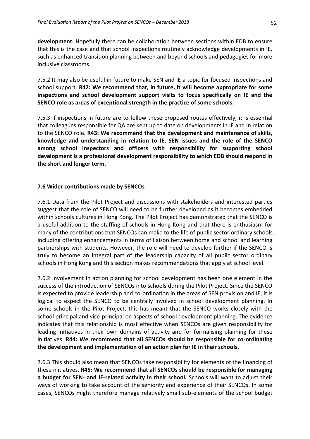**development.** Hopefully there can be collaboration between sections within EDB to ensure that this is the case and that school inspections routinely acknowledge developments in IE, such as enhanced transition planning between and beyond schools and pedagogies for more inclusive classrooms.

7.5.2 It may also be useful in future to make SEN and IE a topic for focused inspections and school support. **R42: We recommend that, in future, it will become appropriate for some inspections and school development support visits to focus specifically on IE and the SENCO role as areas of exceptional strength in the practice of some schools.**

7.5.3 If inspections in future are to follow these proposed routes effectively, it is essential that colleagues responsible for QA are kept up to date on developments in IE and in relation to the SENCO role. **R43: We recommend that the development and maintenance of skills, knowledge and understanding in relation to IE, SEN issues and the role of the SENCO among school inspectors and officers with responsibility for supporting school development is a professional development responsibility to which EDB should respond in the short and longer term.**

### **7.6 Wider contributions made by SENCOs**

7.6.1 Data from the Pilot Project and discussions with stakeholders and interested parties suggest that the role of SENCO will need to be further developed as it becomes embedded within schools cultures in Hong Kong. The Pilot Project has demonstrated that the SENCO is a useful addition to the staffing of schools in Hong Kong and that there is enthusiasm for many of the contributions that SENCOs can make to the life of public sector ordinary schools, including offering enhancements in terms of liaison between home and school and learning partnerships with students. However, the role will need to develop further if the SENCO is truly to become an integral part of the leadership capacity of all public sector ordinary schools in Hong Kong and this section makes recommendations that apply at school level.

7.6.2 Involvement in action planning for school development has been one element in the success of the introduction of SENCOs into schools during the Pilot Project. Since the SENCO is expected to provide leadership and co-ordination in the areas of SEN provision and IE, it is logical to expect the SENCO to be centrally involved in school development planning. In some schools in the Pilot Project, this has meant that the SENCO works closely with the school principal and vice-principal on aspects of school development planning. The evidence indicates that this relationship is most effective when SENCOs are given responsibility for leading initiatives in their own domains of activity and for formalising planning for these initiatives. **R44: We recommend that all SENCOs should be responsible for co-ordinating the development and implementation of an action plan for IE in their schools.**

7.6.3 This should also mean that SENCOs take responsibility for elements of the financing of these initiatives. **R45: We recommend that all SENCOs should be responsible for managing a budget for SEN- and IE-related activity in their school.** Schools will want to adjust their ways of working to take account of the seniority and experience of their SENCOs. In some cases, SENCOs might therefore manage relatively small sub-elements of the school budget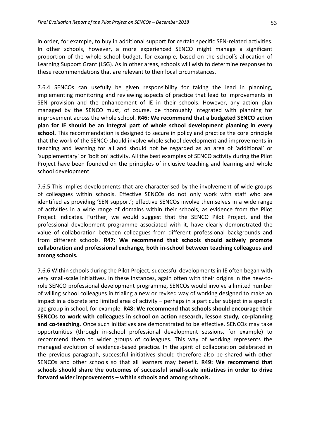in order, for example, to buy in additional support for certain specific SEN-related activities. In other schools, however, a more experienced SENCO might manage a significant proportion of the whole school budget, for example, based on the school's allocation of Learning Support Grant (LSG). As in other areas, schools will wish to determine responses to these recommendations that are relevant to their local circumstances.

7.6.4 SENCOs can usefully be given responsibility for taking the lead in planning, implementing monitoring and reviewing aspects of practice that lead to improvements in SEN provision and the enhancement of IE in their schools. However, any action plan managed by the SENCO must, of course, be thoroughly integrated with planning for improvement across the whole school. **R46: We recommend that a budgeted SENCO action plan for IE should be an integral part of whole school development planning in every school.** This recommendation is designed to secure in policy and practice the core principle that the work of the SENCO should involve whole school development and improvements in teaching and learning for all and should not be regarded as an area of 'additional' or 'supplementary' or 'bolt on' activity. All the best examples of SENCO activity during the Pilot Project have been founded on the principles of inclusive teaching and learning and whole school development.

7.6.5 This implies developments that are characterised by the involvement of wide groups of colleagues within schools. Effective SENCOs do not only work with staff who are identified as providing 'SEN support'; effective SENCOs involve themselves in a wide range of activities in a wide range of domains within their schools, as evidence from the Pilot Project indicates. Further, we would suggest that the SENCO Pilot Project, and the professional development programme associated with it, have clearly demonstrated the value of collaboration between colleagues from different professional backgrounds and from different schools. **R47: We recommend that schools should actively promote collaboration and professional exchange, both in-school between teaching colleagues and among schools.**

7.6.6 Within schools during the Pilot Project, successful developments in IE often began with very small-scale initiatives. In these instances, again often with their origins in the new-torole SENCO professional development programme, SENCOs would involve a limited number of willing school colleagues in trialing a new or revised way of working designed to make an impact in a discrete and limited area of activity – perhaps in a particular subject in a specific age group in school, for example. **R48: We recommend that schools should encourage their SENCOs to work with colleagues in school on action research, lesson study, co-planning and co-teaching.** Once such initiatives are demonstrated to be effective, SENCOs may take opportunities (through in-school professional development sessions, for example) to recommend them to wider groups of colleagues. This way of working represents the managed evolution of evidence-based practice. In the spirit of collaboration celebrated in the previous paragraph, successful initiatives should therefore also be shared with other SENCOs and other schools so that all learners may benefit. **R49: We recommend that schools should share the outcomes of successful small-scale initiatives in order to drive forward wider improvements – within schools and among schools.**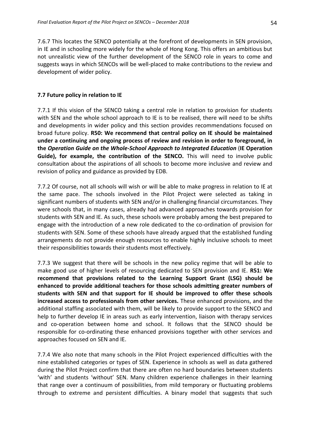7.6.7 This locates the SENCO potentially at the forefront of developments in SEN provision, in IE and in schooling more widely for the whole of Hong Kong. This offers an ambitious but not unrealistic view of the further development of the SENCO role in years to come and suggests ways in which SENCOs will be well-placed to make contributions to the review and development of wider policy.

### **7.7 Future policy in relation to IE**

7.7.1 If this vision of the SENCO taking a central role in relation to provision for students with SEN and the whole school approach to IE is to be realised, there will need to be shifts and developments in wider policy and this section provides recommendations focused on broad future policy. **R50: We recommend that central policy on IE should be maintained under a continuing and ongoing process of review and revision in order to foreground, in the** *Operation Guide on the Whole-School Approach to Integrated Education* (**IE Operation Guide), for example, the contribution of the SENCO.** This will need to involve public consultation about the aspirations of all schools to become more inclusive and review and revision of policy and guidance as provided by EDB.

7.7.2 Of course, not all schools will wish or will be able to make progress in relation to IE at the same pace. The schools involved in the Pilot Project were selected as taking in significant numbers of students with SEN and/or in challenging financial circumstances. They were schools that, in many cases, already had advanced approaches towards provision for students with SEN and IE. As such, these schools were probably among the best prepared to engage with the introduction of a new role dedicated to the co-ordination of provision for students with SEN. Some of these schools have already argued that the established funding arrangements do not provide enough resources to enable highly inclusive schools to meet their responsibilities towards their students most effectively.

7.7.3 We suggest that there will be schools in the new policy regime that will be able to make good use of higher levels of resourcing dedicated to SEN provision and IE. **R51: We recommend that provisions related to the Learning Support Grant (LSG) should be enhanced to provide additional teachers for those schools admitting greater numbers of students with SEN and that support for IE should be improved to offer these schools increased access to professionals from other services.** These enhanced provisions, and the additional staffing associated with them, will be likely to provide support to the SENCO and help to further develop IE in areas such as early intervention, liaison with therapy services and co-operation between home and school. It follows that the SENCO should be responsible for co-ordinating these enhanced provisions together with other services and approaches focused on SEN and IE.

7.7.4 We also note that many schools in the Pilot Project experienced difficulties with the nine established categories or types of SEN. Experience in schools as well as data gathered during the Pilot Project confirm that there are often no hard boundaries between students 'with' and students 'without' SEN. Many children experience challenges in their learning that range over a continuum of possibilities, from mild temporary or fluctuating problems through to extreme and persistent difficulties. A binary model that suggests that such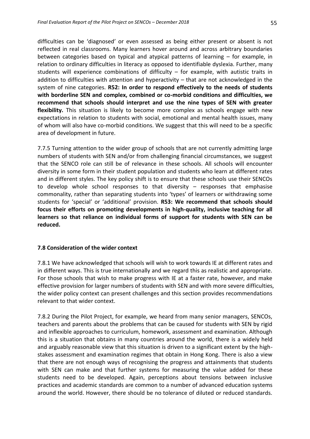difficulties can be 'diagnosed' or even assessed as being either present or absent is not reflected in real classrooms. Many learners hover around and across arbitrary boundaries between categories based on typical and atypical patterns of learning – for example, in relation to ordinary difficulties in literacy as opposed to identifiable dyslexia. Further, many students will experience combinations of difficulty  $-$  for example, with autistic traits in addition to difficulties with attention and hyperactivity – that are not acknowledged in the system of nine categories. **R52: In order to respond effectively to the needs of students with borderline SEN and complex, combined or co-morbid conditions and difficulties, we recommend that schools should interpret and use the nine types of SEN with greater flexibility.** This situation is likely to become more complex as schools engage with new expectations in relation to students with social, emotional and mental health issues, many of whom will also have co-morbid conditions. We suggest that this will need to be a specific area of development in future.

7.7.5 Turning attention to the wider group of schools that are not currently admitting large numbers of students with SEN and/or from challenging financial circumstances, we suggest that the SENCO role can still be of relevance in these schools. All schools will encounter diversity in some form in their student population and students who learn at different rates and in different styles. The key policy shift is to ensure that these schools use their SENCOs to develop whole school responses to that diversity – responses that emphasise commonality, rather than separating students into 'types' of learners or withdrawing some students for 'special' or 'additional' provision. **R53: We recommend that schools should focus their efforts on promoting developments in high-quality, inclusive teaching for all learners so that reliance on individual forms of support for students with SEN can be reduced.**

### **7.8 Consideration of the wider context**

7.8.1 We have acknowledged that schools will wish to work towards IE at different rates and in different ways. This is true internationally and we regard this as realistic and appropriate. For those schools that wish to make progress with IE at a faster rate, however, and make effective provision for larger numbers of students with SEN and with more severe difficulties, the wider policy context can present challenges and this section provides recommendations relevant to that wider context.

7.8.2 During the Pilot Project, for example, we heard from many senior managers, SENCOs, teachers and parents about the problems that can be caused for students with SEN by rigid and inflexible approaches to curriculum, homework, assessment and examination. Although this is a situation that obtains in many countries around the world, there is a widely held and arguably reasonable view that this situation is driven to a significant extent by the highstakes assessment and examination regimes that obtain in Hong Kong. There is also a view that there are not enough ways of recognising the progress and attainments that students with SEN can make and that further systems for measuring the value added for these students need to be developed. Again, perceptions about tensions between inclusive practices and academic standards are common to a number of advanced education systems around the world. However, there should be no tolerance of diluted or reduced standards.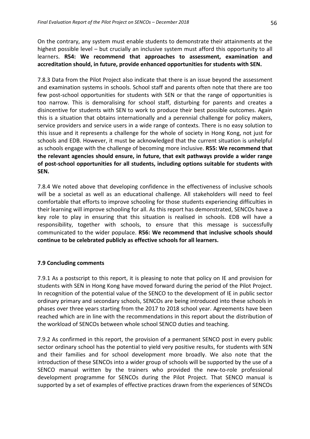On the contrary, any system must enable students to demonstrate their attainments at the highest possible level – but crucially an inclusive system must afford this opportunity to all learners. **R54: We recommend that approaches to assessment, examination and accreditation should, in future, provide enhanced opportunities for students with SEN.**

7.8.3 Data from the Pilot Project also indicate that there is an issue beyond the assessment and examination systems in schools. School staff and parents often note that there are too few post-school opportunities for students with SEN or that the range of opportunities is too narrow. This is demoralising for school staff, disturbing for parents and creates a disincentive for students with SEN to work to produce their best possible outcomes. Again this is a situation that obtains internationally and a perennial challenge for policy makers, service providers and service users in a wide range of contexts. There is no easy solution to this issue and it represents a challenge for the whole of society in Hong Kong, not just for schools and EDB. However, it must be acknowledged that the current situation is unhelpful as schools engage with the challenge of becoming more inclusive. **R55: We recommend that the relevant agencies should ensure, in future, that exit pathways provide a wider range of post-school opportunities for all students, including options suitable for students with SEN.**

7.8.4 We noted above that developing confidence in the effectiveness of inclusive schools will be a societal as well as an educational challenge. All stakeholders will need to feel comfortable that efforts to improve schooling for those students experiencing difficulties in their learning will improve schooling for all. As this report has demonstrated, SENCOs have a key role to play in ensuring that this situation is realised in schools. EDB will have a responsibility, together with schools, to ensure that this message is successfully communicated to the wider populace. **R56: We recommend that inclusive schools should continue to be celebrated publicly as effective schools for all learners.**

### **7.9 Concluding comments**

7.9.1 As a postscript to this report, it is pleasing to note that policy on IE and provision for students with SEN in Hong Kong have moved forward during the period of the Pilot Project. In recognition of the potential value of the SENCO to the development of IE in public sector ordinary primary and secondary schools, SENCOs are being introduced into these schools in phases over three years starting from the 2017 to 2018 school year. Agreements have been reached which are in line with the recommendations in this report about the distribution of the workload of SENCOs between whole school SENCO duties and teaching.

7.9.2 As confirmed in this report, the provision of a permanent SENCO post in every public sector ordinary school has the potential to yield very positive results, for students with SEN and their families and for school development more broadly. We also note that the introduction of these SENCOs into a wider group of schools will be supported by the use of a SENCO manual written by the trainers who provided the new-to-role professional development programme for SENCOs during the Pilot Project. That SENCO manual is supported by a set of examples of effective practices drawn from the experiences of SENCOs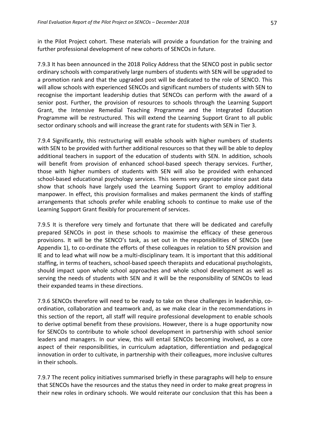in the Pilot Project cohort. These materials will provide a foundation for the training and further professional development of new cohorts of SENCOs in future.

7.9.3 It has been announced in the 2018 Policy Address that the SENCO post in public sector ordinary schools with comparatively large numbers of students with SEN will be upgraded to a promotion rank and that the upgraded post will be dedicated to the role of SENCO. This will allow schools with experienced SENCOs and significant numbers of students with SEN to recognise the important leadership duties that SENCOs can perform with the award of a senior post. Further, the provision of resources to schools through the Learning Support Grant, the Intensive Remedial Teaching Programme and the Integrated Education Programme will be restructured. This will extend the Learning Support Grant to all public sector ordinary schools and will increase the grant rate for students with SEN in Tier 3.

7.9.4 Significantly, this restructuring will enable schools with higher numbers of students with SEN to be provided with further additional resources so that they will be able to deploy additional teachers in support of the education of students with SEN. In addition, schools will benefit from provision of enhanced school-based speech therapy services. Further, those with higher numbers of students with SEN will also be provided with enhanced school-based educational psychology services. This seems very appropriate since past data show that schools have largely used the Learning Support Grant to employ additional manpower. In effect, this provision formalises and makes permanent the kinds of staffing arrangements that schools prefer while enabling schools to continue to make use of the Learning Support Grant flexibly for procurement of services.

7.9.5 It is therefore very timely and fortunate that there will be dedicated and carefully prepared SENCOs in post in these schools to maximise the efficacy of these generous provisions. It will be the SENCO's task, as set out in the responsibilities of SENCOs (see Appendix 1), to co-ordinate the efforts of these colleagues in relation to SEN provision and IE and to lead what will now be a multi-disciplinary team. It is important that this additional staffing, in terms of teachers, school-based speech therapists and educational psychologists, should impact upon whole school approaches and whole school development as well as serving the needs of students with SEN and it will be the responsibility of SENCOs to lead their expanded teams in these directions.

7.9.6 SENCOs therefore will need to be ready to take on these challenges in leadership, coordination, collaboration and teamwork and, as we make clear in the recommendations in this section of the report, all staff will require professional development to enable schools to derive optimal benefit from these provisions. However, there is a huge opportunity now for SENCOs to contribute to whole school development in partnership with school senior leaders and managers. In our view, this will entail SENCOs becoming involved, as a core aspect of their responsibilities, in curriculum adaptation, differentiation and pedagogical innovation in order to cultivate, in partnership with their colleagues, more inclusive cultures in their schools.

7.9.7 The recent policy initiatives summarised briefly in these paragraphs will help to ensure that SENCOs have the resources and the status they need in order to make great progress in their new roles in ordinary schools. We would reiterate our conclusion that this has been a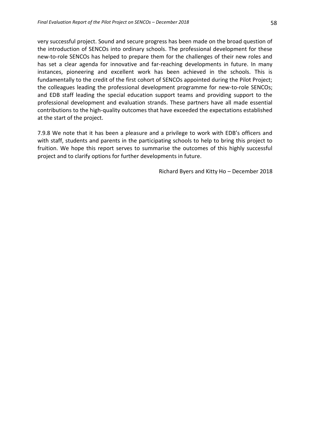very successful project. Sound and secure progress has been made on the broad question of the introduction of SENCOs into ordinary schools. The professional development for these new-to-role SENCOs has helped to prepare them for the challenges of their new roles and has set a clear agenda for innovative and far-reaching developments in future. In many instances, pioneering and excellent work has been achieved in the schools. This is fundamentally to the credit of the first cohort of SENCOs appointed during the Pilot Project; the colleagues leading the professional development programme for new-to-role SENCOs; and EDB staff leading the special education support teams and providing support to the professional development and evaluation strands. These partners have all made essential contributions to the high-quality outcomes that have exceeded the expectations established at the start of the project.

7.9.8 We note that it has been a pleasure and a privilege to work with EDB's officers and with staff, students and parents in the participating schools to help to bring this project to fruition. We hope this report serves to summarise the outcomes of this highly successful project and to clarify options for further developments in future.

Richard Byers and Kitty Ho – December 2018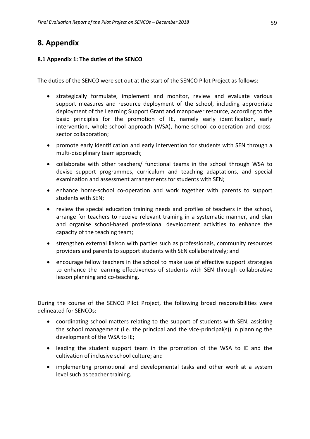# **8. Appendix**

### **8.1 Appendix 1: The duties of the SENCO**

The duties of the SENCO were set out at the start of the SENCO Pilot Project as follows:

- strategically formulate, implement and monitor, review and evaluate various support measures and resource deployment of the school, including appropriate deployment of the Learning Support Grant and manpower resource, according to the basic principles for the promotion of IE, namely early identification, early intervention, whole-school approach (WSA), home-school co-operation and crosssector collaboration;
- promote early identification and early intervention for students with SEN through a multi-disciplinary team approach;
- collaborate with other teachers/ functional teams in the school through WSA to devise support programmes, curriculum and teaching adaptations, and special examination and assessment arrangements for students with SEN;
- enhance home-school co-operation and work together with parents to support students with SEN;
- review the special education training needs and profiles of teachers in the school, arrange for teachers to receive relevant training in a systematic manner, and plan and organise school-based professional development activities to enhance the capacity of the teaching team;
- strengthen external liaison with parties such as professionals, community resources providers and parents to support students with SEN collaboratively; and
- encourage fellow teachers in the school to make use of effective support strategies to enhance the learning effectiveness of students with SEN through collaborative lesson planning and co-teaching.

During the course of the SENCO Pilot Project, the following broad responsibilities were delineated for SENCOs:

- coordinating school matters relating to the support of students with SEN; assisting the school management (i.e. the principal and the vice-principal(s)) in planning the development of the WSA to IE;
- leading the student support team in the promotion of the WSA to IE and the cultivation of inclusive school culture; and
- implementing promotional and developmental tasks and other work at a system level such as teacher training.